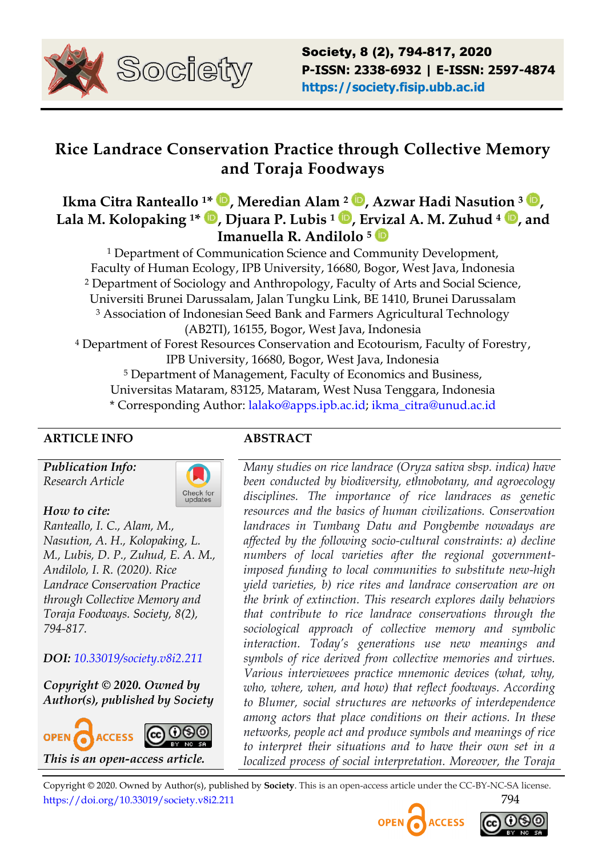

# **Rice Landrace Conservation Practice through Collective Memory and Toraja Foodways**

# **Ikma Citra Ranteallo 1\* , Meredian Alam <sup>2</sup> , Azwar Hadi Nasution <sup>3</sup> , Lala M. Kolopaking 1\* , Djuara P. Lubis <sup>1</sup> , Ervizal A. M. Zuhud <sup>4</sup> , and Imanuella R. Andilolo <sup>5</sup>**

<sup>1</sup> Department of Communication Science and Community Development, Faculty of Human Ecology, IPB University, 16680, Bogor, West Java, Indonesia <sup>2</sup> Department of Sociology and Anthropology, Faculty of Arts and Social Science, Universiti Brunei Darussalam, Jalan Tungku Link, BE 1410, Brunei Darussalam <sup>3</sup> Association of Indonesian Seed Bank and Farmers Agricultural Technology (AB2TI), 16155, Bogor, West Java, Indonesia <sup>4</sup> Department of Forest Resources Conservation and Ecotourism, Faculty of Forestry, IPB University, 16680, Bogor, West Java, Indonesia <sup>5</sup> Department of Management, Faculty of Economics and Business, Universitas Mataram, 83125, Mataram, West Nusa Tenggara, Indonesia \* Corresponding Author: [lalako@apps.ipb.ac.id;](mailto:lalako@apps.ipb.ac.id) [ikma\\_citra@unud.ac.id](mailto:ikma_citra@unud.ac.id)

# **ARTICLE INFO ABSTRACT**

*Publication Info: Research Article*



#### *How to cite:*

*Ranteallo, I. C., Alam, M., Nasution, A. H., Kolopaking, L. M., Lubis, D. P., Zuhud, E. A. M., Andilolo, I. R. (2020). Rice Landrace Conservation Practice through Collective Memory and Toraja Foodways. Society, 8(2), 794-817.*

# *DOI: [10.33019/society.v8i2.211](https://doi.org/10.33019/society.v8i2.211)*

*Copyright © 2020. Owned by Author(s), published by Society*



*Many studies on rice landrace (Oryza sativa sbsp. indica) have been conducted by biodiversity, ethnobotany, and agroecology disciplines. The importance of rice landraces as genetic resources and the basics of human civilizations. Conservation landraces in Tumbang Datu and Pongbembe nowadays are affected by the following socio-cultural constraints: a) decline numbers of local varieties after the regional governmentimposed funding to local communities to substitute new-high yield varieties, b) rice rites and landrace conservation are on the brink of extinction. This research explores daily behaviors that contribute to rice landrace conservations through the sociological approach of collective memory and symbolic interaction. Today"s generations use new meanings and symbols of rice derived from collective memories and virtues. Various interviewees practice mnemonic devices (what, why, who, where, when, and how) that reflect foodways. According to Blumer, social structures are networks of interdependence among actors that place conditions on their actions. In these networks, people act and produce symbols and meanings of rice to interpret their situations and to have their own set in a localized process of social interpretation. Moreover, the Toraja* 



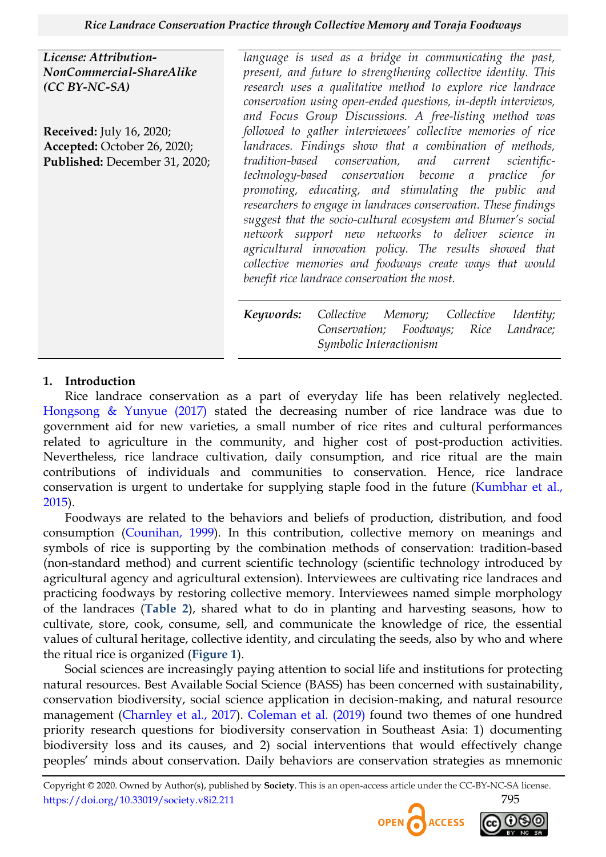*License: Attribution-NonCommercial-ShareAlike (CC BY-NC-SA)*

**Received:** July 16, 2020; **Accepted:** October 26, 2020; **Published:** December 31, 2020;

language is used as a bridge in communicating the past, *present, and future to strengthening collective identity. This research uses a qualitative method to explore rice landrace conservation using open-ended questions, in-depth interviews, and Focus Group Discussions. A free-listing method was followed to gather interviewees" collective memories of rice landraces. Findings show that a combination of methods, tradition-based conservation, and current scientifictechnology-based conservation become a practice for promoting, educating, and stimulating the public and researchers to engage in landraces conservation. These findings suggest that the socio-cultural ecosystem and Blumer"s social network support new networks to deliver science in agricultural innovation policy. The results showed that collective memories and foodways create ways that would benefit rice landrace conservation the most.*

*Keywords: Collective Memory; Collective Identity; Conservation; Foodways; Rice Landrace; Symbolic Interactionism*

#### **1. Introduction**

Rice landrace conservation as a part of everyday life has been relatively neglected. [Hongsong & Yunyue \(2017\)](#page-20-0) stated the decreasing number of rice landrace was due to government aid for new varieties, a small number of rice rites and cultural performances related to agriculture in the community, and higher cost of post-production activities. Nevertheless, rice landrace cultivation, daily consumption, and rice ritual are the main contributions of individuals and communities to conservation. Hence, rice landrace conservation is urgent to undertake for supplying staple food in the future [\(Kumbhar et al.,](#page-20-1)  [2015\)](#page-20-1).

Foodways are related to the behaviors and beliefs of production, distribution, and food consumption [\(Counihan, 1999\)](#page-19-0). In this contribution, collective memory on meanings and symbols of rice is supporting by the combination methods of conservation: tradition-based (non-standard method) and current scientific technology (scientific technology introduced by agricultural agency and agricultural extension). Interviewees are cultivating rice landraces and practicing foodways by restoring collective memory. Interviewees named simple morphology of the landraces (**[Table 2](#page-9-0)**), shared what to do in planting and harvesting seasons, how to cultivate, store, cook, consume, sell, and communicate the knowledge of rice, the essential values of cultural heritage, collective identity, and circulating the seeds, also by who and where the ritual rice is organized (**[Figure 1](#page-8-0)**).

Social sciences are increasingly paying attention to social life and institutions for protecting natural resources. Best Available Social Science (BASS) has been concerned with sustainability, conservation biodiversity, social science application in decision-making, and natural resource management [\(Charnley et al., 2017\)](#page-19-1). [Coleman et al. \(2019\)](#page-19-2) found two themes of one hundred priority research questions for biodiversity conservation in Southeast Asia: 1) documenting biodiversity loss and its causes, and 2) social interventions that would effectively change peoples' minds about conservation. Daily behaviors are conservation strategies as mnemonic



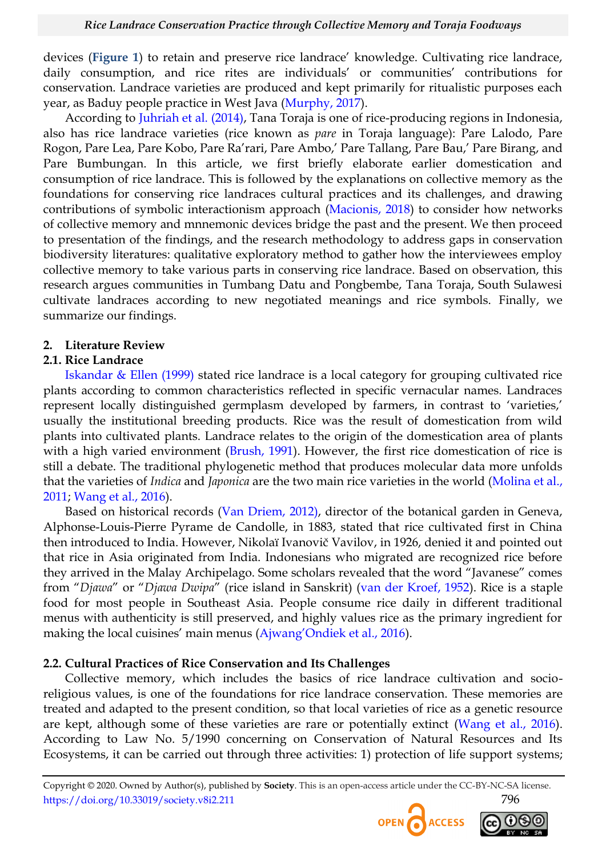devices (**[Figure 1](#page-8-0)**) to retain and preserve rice landrace' knowledge. Cultivating rice landrace, daily consumption, and rice rites are individuals' or communities' contributions for conservation. Landrace varieties are produced and kept primarily for ritualistic purposes each year, as Baduy people practice in West Java [\(Murphy, 2017\)](#page-20-2).

According to [Juhriah et al. \(2014\),](#page-20-3) Tana Toraja is one of rice-producing regions in Indonesia, also has rice landrace varieties (rice known as *pare* in Toraja language): Pare Lalodo, Pare Rogon, Pare Lea, Pare Kobo, Pare Ra'rari, Pare Ambo,' Pare Tallang, Pare Bau,' Pare Birang, and Pare Bumbungan. In this article, we first briefly elaborate earlier domestication and consumption of rice landrace. This is followed by the explanations on collective memory as the foundations for conserving rice landraces cultural practices and its challenges, and drawing contributions of symbolic interactionism approach [\(Macionis, 2018\)](#page-20-4) to consider how networks of collective memory and mnnemonic devices bridge the past and the present. We then proceed to presentation of the findings, and the research methodology to address gaps in conservation biodiversity literatures: qualitative exploratory method to gather how the interviewees employ collective memory to take various parts in conserving rice landrace. Based on observation, this research argues communities in Tumbang Datu and Pongbembe, Tana Toraja, South Sulawesi cultivate landraces according to new negotiated meanings and rice symbols. Finally, we summarize our findings.

#### **2. Literature Review**

#### **2.1. Rice Landrace**

[Iskandar & Ellen \(1999\)](#page-20-5) stated rice landrace is a local category for grouping cultivated rice plants according to common characteristics reflected in specific vernacular names. Landraces represent locally distinguished germplasm developed by farmers, in contrast to 'varieties,' usually the institutional breeding products. Rice was the result of domestication from wild plants into cultivated plants. Landrace relates to the origin of the domestication area of plants with a high varied environment [\(Brush, 1991\)](#page-18-0). However, the first rice domestication of rice is still a debate. The traditional phylogenetic method that produces molecular data more unfolds that the varieties of *Indica* and *Japonica* are the two main rice varieties in the world [\(Molina et al.,](#page-20-6)  [2011;](#page-20-6) [Wang et al., 2016\)](#page-22-0).

Based on historical records [\(Van Driem, 2012\),](#page-22-1) director of the botanical garden in Geneva, Alphonse-Louis-Pierre Pyrame de Candolle, in 1883, stated that rice cultivated first in China then introduced to India. However, Nikolaï Ivanovič Vavilov, in 1926, denied it and pointed out that rice in Asia originated from India. Indonesians who migrated are recognized rice before they arrived in the Malay Archipelago. Some scholars revealed that the word "Javanese" comes from "Djawa" or "Djawa Dwipa" (rice island in Sanskrit) ([van der Kroef, 1952\)](#page-22-2). Rice is a staple food for most people in Southeast Asia. People consume rice daily in different traditional menus with authenticity is still preserved, and highly values rice as the primary ingredient for making the local cuisines' main menus [\(Ajwang'Ondiek et al., 2016](#page-18-1)).

#### **2.2. Cultural Practices of Rice Conservation and Its Challenges**

Collective memory, which includes the basics of rice landrace cultivation and socioreligious values, is one of the foundations for rice landrace conservation. These memories are treated and adapted to the present condition, so that local varieties of rice as a genetic resource are kept, although some of these varieties are rare or potentially extinct [\(Wang et al., 2016\)](#page-22-0). According to Law No. 5/1990 concerning on Conservation of Natural Resources and Its Ecosystems, it can be carried out through three activities: 1) protection of life support systems;



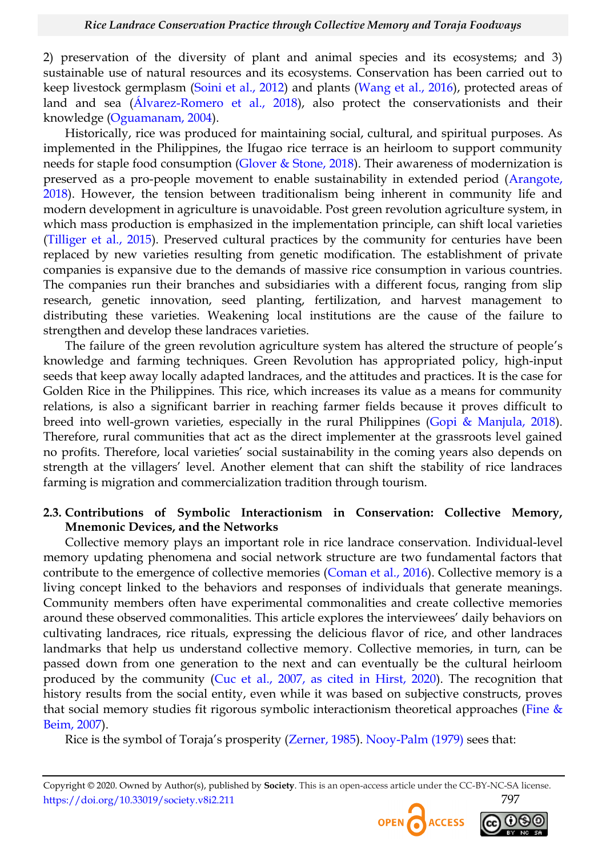2) preservation of the diversity of plant and animal species and its ecosystems; and 3) sustainable use of natural resources and its ecosystems. Conservation has been carried out to keep livestock germplasm [\(Soini et al., 2012\)](#page-21-0) and plants [\(Wang et al., 2016\)](#page-22-0), protected areas of land and sea [\(Álvarez-Romero et al., 2018\)](#page-18-2), also protect the conservationists and their knowledge [\(Oguamanam, 2004\)](#page-21-1).

Historically, rice was produced for maintaining social, cultural, and spiritual purposes. As implemented in the Philippines, the Ifugao rice terrace is an heirloom to support community needs for staple food consumption [\(Glover & Stone, 2018\)](#page-19-3). Their awareness of modernization is preserved as a pro-people movement to enable sustainability in extended period [\(Arangote,](#page-18-3)  [2018\)](#page-18-3). However, the tension between traditionalism being inherent in community life and modern development in agriculture is unavoidable. Post green revolution agriculture system, in which mass production is emphasized in the implementation principle, can shift local varieties [\(Tilliger et al., 2015\)](#page-22-3). Preserved cultural practices by the community for centuries have been replaced by new varieties resulting from genetic modification. The establishment of private companies is expansive due to the demands of massive rice consumption in various countries. The companies run their branches and subsidiaries with a different focus, ranging from slip research, genetic innovation, seed planting, fertilization, and harvest management to distributing these varieties. Weakening local institutions are the cause of the failure to strengthen and develop these landraces varieties.

The failure of the green revolution agriculture system has altered the structure of people's knowledge and farming techniques. Green Revolution has appropriated policy, high-input seeds that keep away locally adapted landraces, and the attitudes and practices. It is the case for Golden Rice in the Philippines. This rice, which increases its value as a means for community relations, is also a significant barrier in reaching farmer fields because it proves difficult to breed into well-grown varieties, especially in the rural Philippines [\(Gopi & Manjula, 2018\)](#page-19-4). Therefore, rural communities that act as the direct implementer at the grassroots level gained no profits. Therefore, local varieties' social sustainability in the coming years also depends on strength at the villagers' level. Another element that can shift the stability of rice landraces farming is migration and commercialization tradition through tourism.

#### **2.3. Contributions of Symbolic Interactionism in Conservation: Collective Memory, Mnemonic Devices, and the Networks**

Collective memory plays an important role in rice landrace conservation. Individual-level memory updating phenomena and social network structure are two fundamental factors that contribute to the emergence of collective memories [\(Coman et al., 2016\)](#page-19-5). Collective memory is a living concept linked to the behaviors and responses of individuals that generate meanings. Community members often have experimental commonalities and create collective memories around these observed commonalities. This article explores the interviewees' daily behaviors on cultivating landraces, rice rituals, expressing the delicious flavor of rice, and other landraces landmarks that help us understand collective memory. Collective memories, in turn, can be passed down from one generation to the next and can eventually be the cultural heirloom produced by the community [\(Cuc et al., 2007, as cited in Hirst, 2020\)](#page-19-6). The recognition that history results from the social entity, even while it was based on subjective constructs, proves that social memory studies fit rigorous symbolic interactionism theoretical approaches (Fine  $&$ [Beim, 2007\)](#page-19-7).

Rice is the symbol of Toraja's prosperity ([Zerner, 1985\)](#page-22-4). [Nooy-Palm \(1979\)](#page-21-2) sees that:

Copyright © 2020. Owned by Author(s), published by **Society**. This is an open-access article under the CC-BY-NC-SA license. https://doi.org/10.33019/society.v8i2.211 797



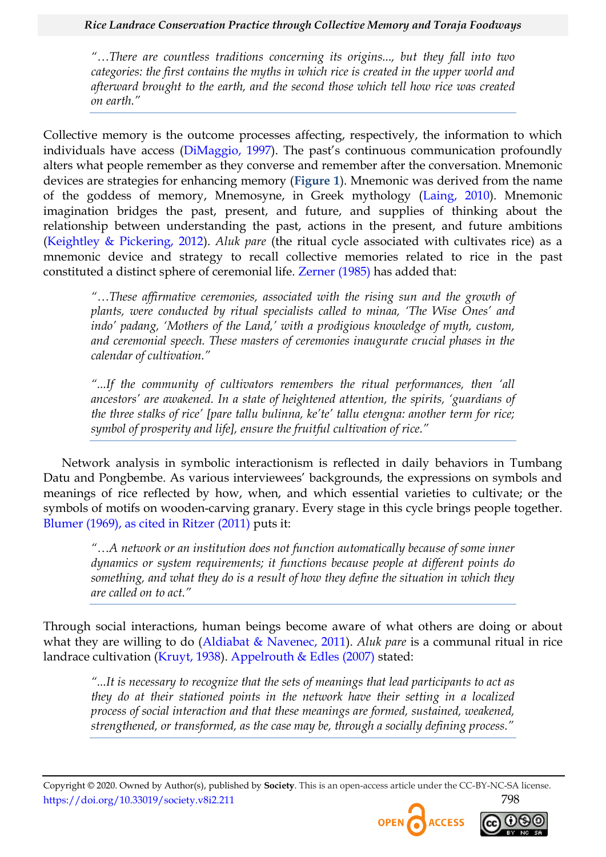#### *Rice Landrace Conservation Practice through Collective Memory and Toraja Foodways*

*"…There are countless traditions concerning its origins..., but they fall into two categories: the first contains the myths in which rice is created in the upper world and afterward brought to the earth, and the second those which tell how rice was created on earth."* 

Collective memory is the outcome processes affecting, respectively, the information to which individuals have access [\(DiMaggio, 1997](#page-19-8)). The past's continuous communication profoundly alters what people remember as they converse and remember after the conversation. Mnemonic devices are strategies for enhancing memory (**[Figure 1](#page-8-0)**). Mnemonic was derived from the name of the goddess of memory, Mnemosyne, in Greek mythology [\(Laing, 2010\)](#page-20-7). Mnemonic imagination bridges the past, present, and future, and supplies of thinking about the relationship between understanding the past, actions in the present, and future ambitions [\(Keightley & Pickering, 2012\)](#page-20-8). *Aluk pare* (the ritual cycle associated with cultivates rice) as a mnemonic device and strategy to recall collective memories related to rice in the past constituted a distinct sphere of ceremonial life. [Zerner \(1985\)](#page-22-4) has added that:

*"…These affirmative ceremonies, associated with the rising sun and the growth of plants, were conducted by ritual specialists called to minaa, "The Wise Ones" and indo" padang, "Mothers of the Land," with a prodigious knowledge of myth, custom, and ceremonial speech. These masters of ceremonies inaugurate crucial phases in the calendar of cultivation."* 

*"...If the community of cultivators remembers the ritual performances, then "all ancestors" are awakened. In a state of heightened attention, the spirits, "guardians of the three stalks of rice" [pare tallu bulinna, ke"te" tallu etengna: another term for rice; symbol of prosperity and life], ensure the fruitful cultivation of rice."* 

Network analysis in symbolic interactionism is reflected in daily behaviors in Tumbang Datu and Pongbembe. As various interviewees' backgrounds, the expressions on symbols and meanings of rice reflected by how, when, and which essential varieties to cultivate; or the symbols of motifs on wooden-carving granary. Every stage in this cycle brings people together. [Blumer \(1969\), as cited in Ritzer \(2011\)](#page-21-3) puts it:

*"…A network or an institution does not function automatically because of some inner dynamics or system requirements; it functions because people at different points do something, and what they do is a result of how they define the situation in which they are called on to act."*

Through social interactions, human beings become aware of what others are doing or about what they are willing to do [\(Aldiabat & Navenec, 2011\)](#page-18-4). *Aluk pare* is a communal ritual in rice landrace cultivation [\(Kruyt, 1938\)](#page-20-9). [Appelrouth & Edles \(2007\)](#page-18-5) stated:

*"...It is necessary to recognize that the sets of meanings that lead participants to act as they do at their stationed points in the network have their setting in a localized process of social interaction and that these meanings are formed, sustained, weakened, strengthened, or transformed, as the case may be, through a socially defining process."* 



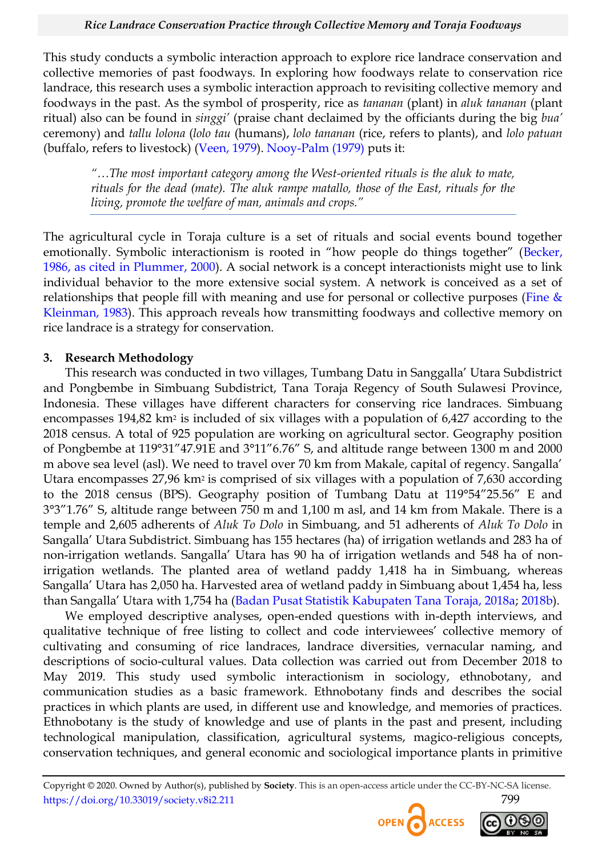This study conducts a symbolic interaction approach to explore rice landrace conservation and collective memories of past foodways. In exploring how foodways relate to conservation rice landrace, this research uses a symbolic interaction approach to revisiting collective memory and foodways in the past. As the symbol of prosperity, rice as *tananan* (plant) in *aluk tananan* (plant ritual) also can be found in *singgi"* (praise chant declaimed by the officiants during the big *bua"* ceremony) and *tallu lolona* (*lolo tau* (humans), *lolo tananan* (rice, refers to plants), and *lolo patuan* (buffalo, refers to livestock) [\(Veen, 1979\)](#page-22-5). [Nooy-Palm \(1979\)](#page-21-2) puts it:

*"…The most important category among the West-oriented rituals is the aluk to mate, rituals for the dead (mate). The aluk rampe matallo, those of the East, rituals for the living, promote the welfare of man, animals and crops."* 

The agricultural cycle in Toraja culture is a set of rituals and social events bound together emotionally. Symbolic interactionism is rooted in "how people do things together" (Becker, [1986, as cited in Plummer, 2000\)](#page-21-4). A social network is a concept interactionists might use to link individual behavior to the more extensive social system. A network is conceived as a set of relationships that people fill with meaning and use for personal or collective purposes (Fine  $\&$ [Kleinman, 1983\)](#page-19-3). This approach reveals how transmitting foodways and collective memory on rice landrace is a strategy for conservation.

# **3. Research Methodology**

This research was conducted in two villages, Tumbang Datu in Sanggalla' Utara Subdistrict and Pongbembe in Simbuang Subdistrict, Tana Toraja Regency of South Sulawesi Province, Indonesia. These villages have different characters for conserving rice landraces. Simbuang encompasses 194,82 km<sup>2</sup> is included of six villages with a population of 6,427 according to the 2018 census. A total of 925 population are working on agricultural sector. Geography position of Pongbembe at 119°31"47.91E and 3°11"6.76" S, and altitude range between 1300 m and 2000 m above sea level (asl). We need to travel over 70 km from Makale, capital of regency. Sangalla' Utara encompasses 27,96 km<sup>2</sup> is comprised of six villages with a population of 7,630 according to the 2018 census (BPS). Geography position of Tumbang Datu at  $119^{\circ}54''25.56''$  E and 3°3″1.76″ S, altitude range between 750 m and 1,100 m asl, and 14 km from Makale. There is a temple and 2,605 adherents of *Aluk To Dolo* in Simbuang, and 51 adherents of *Aluk To Dolo* in Sangalla' Utara Subdistrict. Simbuang has 155 hectares (ha) of irrigation wetlands and 283 ha of non-irrigation wetlands. Sangalla' Utara has 90 ha of irrigation wetlands and 548 ha of nonirrigation wetlands. The planted area of wetland paddy 1,418 ha in Simbuang, whereas Sangalla' Utara has 2,050 ha. Harvested area of wetland paddy in Simbuang about 1,454 ha, less than Sangalla' Utara with 1,754 ha ([Badan Pusat Statistik Kabupaten Tana Toraja, 2018a;](#page-18-6) [2018b\)](#page-18-7).

We employed descriptive analyses, open-ended questions with in-depth interviews, and qualitative technique of free listing to collect and code interviewees' collective memory of cultivating and consuming of rice landraces, landrace diversities, vernacular naming, and descriptions of socio-cultural values. Data collection was carried out from December 2018 to May 2019. This study used symbolic interactionism in sociology, ethnobotany, and communication studies as a basic framework. Ethnobotany finds and describes the social practices in which plants are used, in different use and knowledge, and memories of practices. Ethnobotany is the study of knowledge and use of plants in the past and present, including technological manipulation, classification, agricultural systems, magico-religious concepts, conservation techniques, and general economic and sociological importance plants in primitive



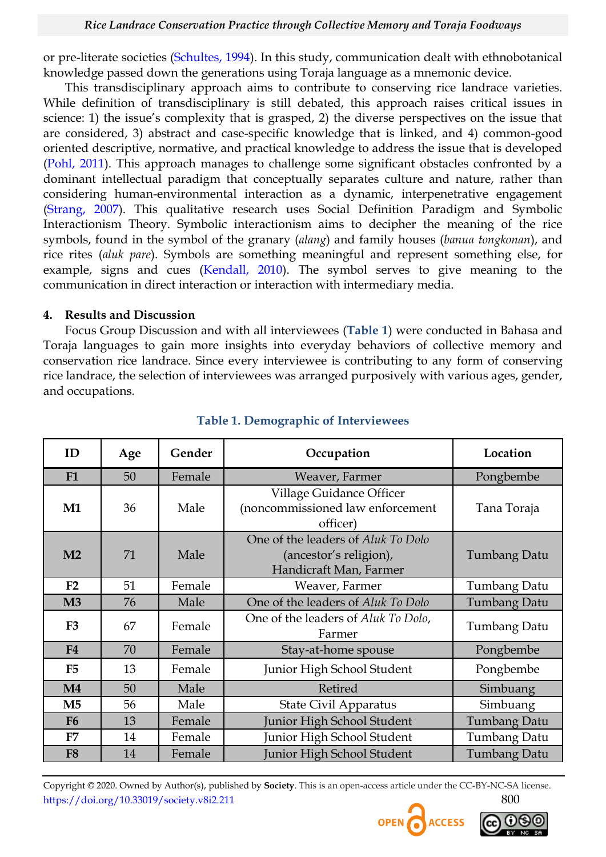or pre-literate societies [\(Schultes, 1994\)](#page-21-5). In this study, communication dealt with ethnobotanical knowledge passed down the generations using Toraja language as a mnemonic device.

This transdisciplinary approach aims to contribute to conserving rice landrace varieties. While definition of transdisciplinary is still debated, this approach raises critical issues in science: 1) the issue's complexity that is grasped, 2) the diverse perspectives on the issue that are considered, 3) abstract and case-specific knowledge that is linked, and 4) common-good oriented descriptive, normative, and practical knowledge to address the issue that is developed [\(Pohl, 2011\)](#page-21-6). This approach manages to challenge some significant obstacles confronted by a dominant intellectual paradigm that conceptually separates culture and nature, rather than considering human-environmental interaction as a dynamic, interpenetrative engagement [\(Strang, 2007\)](#page-21-7). This qualitative research uses Social Definition Paradigm and Symbolic Interactionism Theory. Symbolic interactionism aims to decipher the meaning of the rice symbols, found in the symbol of the granary (*alang*) and family houses (*banua tongkonan*), and rice rites (*aluk pare*). Symbols are something meaningful and represent something else, for example, signs and cues [\(Kendall, 2010\)](#page-20-10). The symbol serves to give meaning to the communication in direct interaction or interaction with intermediary media.

#### **4. Results and Discussion**

Focus Group Discussion and with all interviewees (**[Table 1](#page-6-0)**) were conducted in Bahasa and Toraja languages to gain more insights into everyday behaviors of collective memory and conservation rice landrace. Since every interviewee is contributing to any form of conserving rice landrace, the selection of interviewees was arranged purposively with various ages, gender, and occupations.

<span id="page-6-0"></span>

| ID             | Age | Gender | Occupation                                                                             | Location            |  |
|----------------|-----|--------|----------------------------------------------------------------------------------------|---------------------|--|
| F1             | 50  | Female | Weaver, Farmer                                                                         | Pongbembe           |  |
| M1             | 36  | Male   | Village Guidance Officer<br>(noncommissioned law enforcement<br>officer)               | Tana Toraja         |  |
| M <sub>2</sub> | 71  | Male   | One of the leaders of Aluk To Dolo<br>(ancestor's religion),<br>Handicraft Man, Farmer | Tumbang Datu        |  |
| F2             | 51  | Female | Weaver, Farmer                                                                         | Tumbang Datu        |  |
| M <sub>3</sub> | 76  | Male   | One of the leaders of Aluk To Dolo                                                     | Tumbang Datu        |  |
| F <sub>3</sub> | 67  | Female | One of the leaders of Aluk To Dolo,<br>Farmer                                          | Tumbang Datu        |  |
| F <sub>4</sub> | 70  | Female | Stay-at-home spouse                                                                    | Pongbembe           |  |
| F <sub>5</sub> | 13  | Female | Junior High School Student                                                             | Pongbembe           |  |
| $\mathbf{M}4$  | 50  | Male   | Retired                                                                                | Simbuang            |  |
| M <sub>5</sub> | 56  | Male   | <b>State Civil Apparatus</b>                                                           | Simbuang            |  |
| F <sub>6</sub> | 13  | Female | Junior High School Student                                                             | Tumbang Datu        |  |
| F7             | 14  | Female | Junior High School Student                                                             | Tumbang Datu        |  |
| F <sub>8</sub> | 14  | Female | Junior High School Student                                                             | <b>Tumbang Datu</b> |  |

# **Table 1. Demographic of Interviewees**



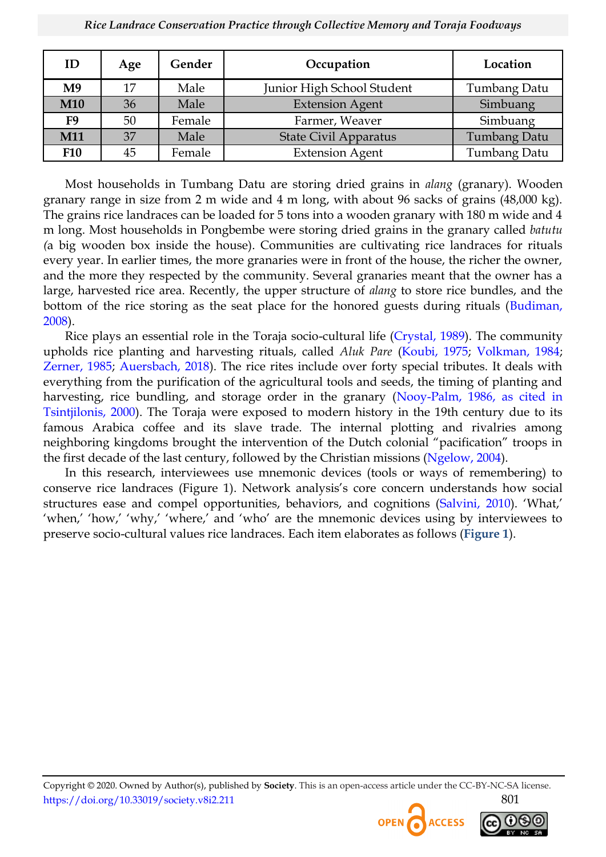| ID             | Age | Gender | Occupation                 | Location            |  |
|----------------|-----|--------|----------------------------|---------------------|--|
| M <sub>9</sub> | 17  | Male   | Junior High School Student | Tumbang Datu        |  |
| <b>M10</b>     | 36  | Male   | <b>Extension Agent</b>     | Simbuang            |  |
| F <sub>9</sub> | 50  | Female | Farmer, Weaver             | Simbuang            |  |
| M11            | 37  | Male   | State Civil Apparatus      | <b>Tumbang Datu</b> |  |
| <b>F10</b>     | 45  | Female | <b>Extension Agent</b>     | <b>Tumbang Datu</b> |  |

Most households in Tumbang Datu are storing dried grains in *alang* (granary). Wooden granary range in size from 2 m wide and 4 m long, with about 96 sacks of grains (48,000 kg). The grains rice landraces can be loaded for 5 tons into a wooden granary with 180 m wide and 4 m long. Most households in Pongbembe were storing dried grains in the granary called *batutu (*a big wooden box inside the house). Communities are cultivating rice landraces for rituals every year. In earlier times, the more granaries were in front of the house, the richer the owner, and the more they respected by the community. Several granaries meant that the owner has a large, harvested rice area. Recently, the upper structure of *alang* to store rice bundles, and the bottom of the rice storing as the seat place for the honored guests during rituals [\(Budiman,](#page-18-8)  [2008\)](#page-18-8).

Rice plays an essential role in the Toraja socio-cultural life [\(Crystal, 1989\)](#page-19-9). The community upholds rice planting and harvesting rituals, called *Aluk Pare* [\(Koubi, 1975;](#page-20-11) [Volkman, 1984;](#page-22-6) [Zerner, 1985;](#page-22-4) [Auersbach, 2018\)](#page-18-9). The rice rites include over forty special tributes. It deals with everything from the purification of the agricultural tools and seeds, the timing of planting and harvesting, rice bundling, and storage order in the granary (Nooy-Palm, 1986, as cited in [Tsintjilonis, 2000\)](#page-22-7). The Toraja were exposed to modern history in the 19th century due to its famous Arabica coffee and its slave trade. The internal plotting and rivalries among neighboring kingdoms brought the intervention of the Dutch colonial "pacification" troops in the first decade of the last century, followed by the Christian missions [\(Ngelow, 2004\)](#page-21-8).

In this research, interviewees use mnemonic devices (tools or ways of remembering) to conserve rice landraces (Figure 1). Network analysis's core concern understands how social structures ease and compel opportunities, behaviors, and cognitions [\(Salvini, 2010](#page-21-9)). ‗What,' ‗when,' ‗how,' ‗why,' ‗where,' and ‗who' are the mnemonic devices using by interviewees to preserve socio-cultural values rice landraces. Each item elaborates as follows (**[Figure 1](#page-8-0)**).



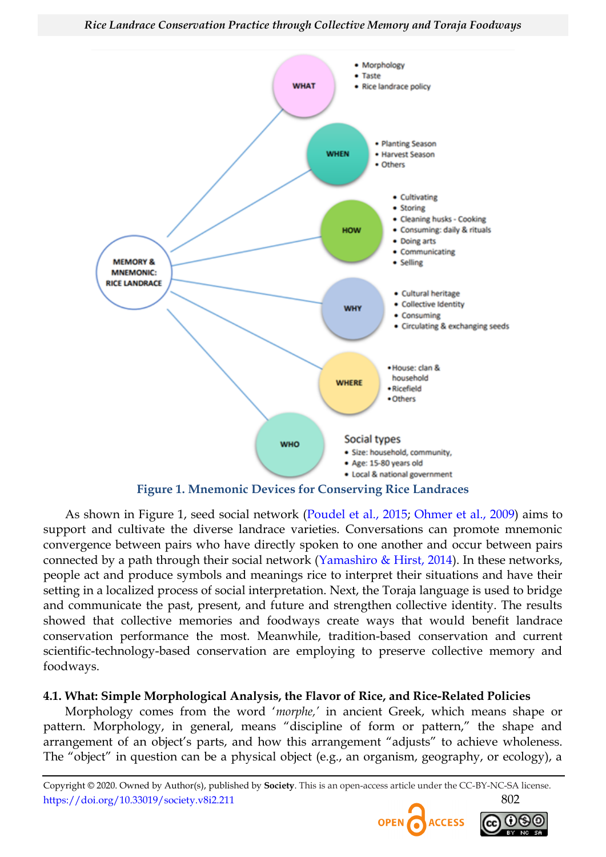

<span id="page-8-0"></span>As shown in Figure 1, seed social network [\(Poudel et al., 2015;](#page-21-10) [Ohmer et al., 2009\)](#page-21-11) aims to support and cultivate the diverse landrace varieties. Conversations can promote mnemonic convergence between pairs who have directly spoken to one another and occur between pairs connected by a path through their social network [\(Yamashiro & Hirst, 2014\)](#page-22-4). In these networks, people act and produce symbols and meanings rice to interpret their situations and have their setting in a localized process of social interpretation. Next, the Toraja language is used to bridge and communicate the past, present, and future and strengthen collective identity. The results showed that collective memories and foodways create ways that would benefit landrace conservation performance the most. Meanwhile, tradition-based conservation and current scientific-technology-based conservation are employing to preserve collective memory and foodways.

# **4.1. What: Simple Morphological Analysis, the Flavor of Rice, and Rice-Related Policies**

Morphology comes from the word ‗*morphe,"* in ancient Greek, which means shape or pattern. Morphology, in general, means "discipline of form or pattern," the shape and arrangement of an object's parts, and how this arrangement "adjusts" to achieve wholeness. The "object" in question can be a physical object (e.g., an organism, geography, or ecology), a



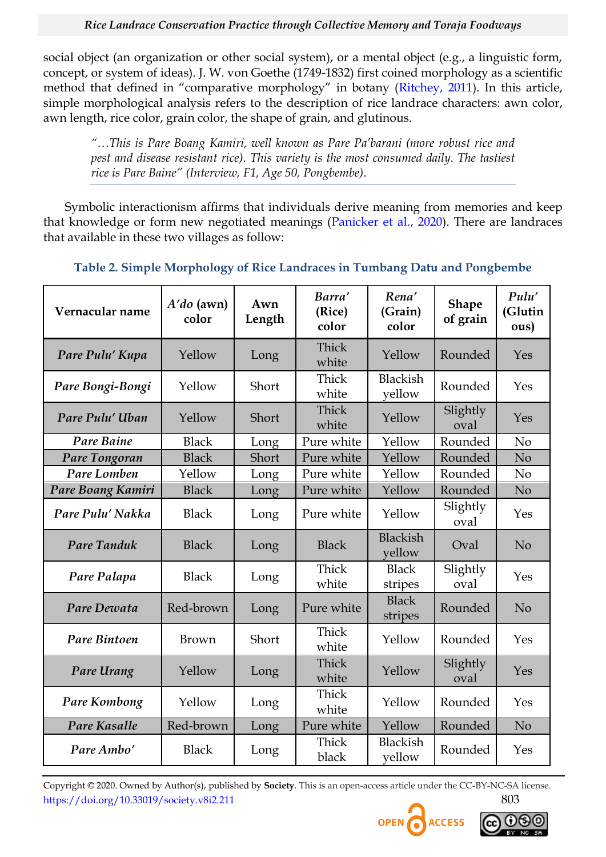social object (an organization or other social system), or a mental object (e.g., a linguistic form, concept, or system of ideas). J. W. von Goethe (1749-1832) first coined morphology as a scientific method that defined in "comparative morphology" in botany ([Ritchey, 2011\)](#page-21-12). In this article, simple morphological analysis refers to the description of rice landrace characters: awn color, awn length, rice color, grain color, the shape of grain, and glutinous.

*"…This is Pare Boang Kamiri, well known as Pare Pa"barani (more robust rice and pest and disease resistant rice). This variety is the most consumed daily. The tastiest rice is Pare Baine" (Interview, F1, Age 50, Pongbembe)*.

Symbolic interactionism affirms that individuals derive meaning from memories and keep that knowledge or form new negotiated meanings [\(Panicker et al., 2020\)](#page-21-13). There are landraces that available in these two villages as follow:

<span id="page-9-0"></span>

| Vernacular name    | $A'do$ (awn)<br>color | Awn<br>Length | Barra'<br>(Rice)<br>color | Rena'<br>(Grain)<br>color | <b>Shape</b><br>of grain | Pulu'<br>(Glutin<br>ous) |
|--------------------|-----------------------|---------------|---------------------------|---------------------------|--------------------------|--------------------------|
| Pare Pulu' Kupa    | Yellow                | Long          | Thick<br>white            | Yellow                    | Rounded                  | Yes                      |
| Pare Bongi-Bongi   | Yellow                | Short         | Thick<br>white            | <b>Blackish</b><br>yellow | Rounded                  | Yes                      |
| Pare Pulu' Uban    | Yellow                | Short         | Thick<br>white            | Yellow                    | Slightly<br>oval         | Yes                      |
| Pare Baine         | <b>Black</b>          | Long          | Pure white                | Yellow                    | Rounded                  | N <sub>o</sub>           |
| Pare Tongoran      | <b>Black</b>          | Short         | Pure white                | Yellow                    | Rounded                  | N <sub>o</sub>           |
| Pare Lomben        | Yellow                | Long          | Pure white                | Yellow                    | Rounded                  | N <sub>o</sub>           |
| Pare Boang Kamiri  | <b>Black</b>          | Long          | Pure white                | Yellow                    | Rounded                  | N <sub>o</sub>           |
| Pare Pulu' Nakka   | <b>Black</b>          | Long          | Pure white                | Yellow                    | Slightly<br>oval         | Yes                      |
| <b>Pare Tanduk</b> | <b>Black</b>          | Long          | <b>Black</b>              | <b>Blackish</b><br>vellow | Oval                     | N <sub>o</sub>           |
| Pare Palapa        | <b>Black</b>          | Long          | Thick<br>white            | <b>Black</b><br>stripes   | Slightly<br>oval         | Yes                      |
| Pare Dewata        | Red-brown             | Long          | Pure white                | <b>Black</b><br>stripes   | Rounded                  | N <sub>o</sub>           |
| Pare Bintoen       | Brown                 | Short         | Thick<br>white            | Yellow                    | Rounded                  | Yes                      |
| Pare Urang         | Yellow                | Long          | Thick<br>white            | Yellow                    | Slightly<br>oval         | Yes                      |
| Pare Kombong       | Yellow                | Long          | Thick<br>white            | Yellow                    | Rounded                  | Yes                      |
| Pare Kasalle       | Red-brown             | Long          | Pure white                | Yellow                    | Rounded                  | N <sub>o</sub>           |
| Pare Ambo'         | <b>Black</b>          | Long          | Thick<br>black            | <b>Blackish</b><br>vellow | Rounded                  | Yes                      |

# **Table 2. Simple Morphology of Rice Landraces in Tumbang Datu and Pongbembe**



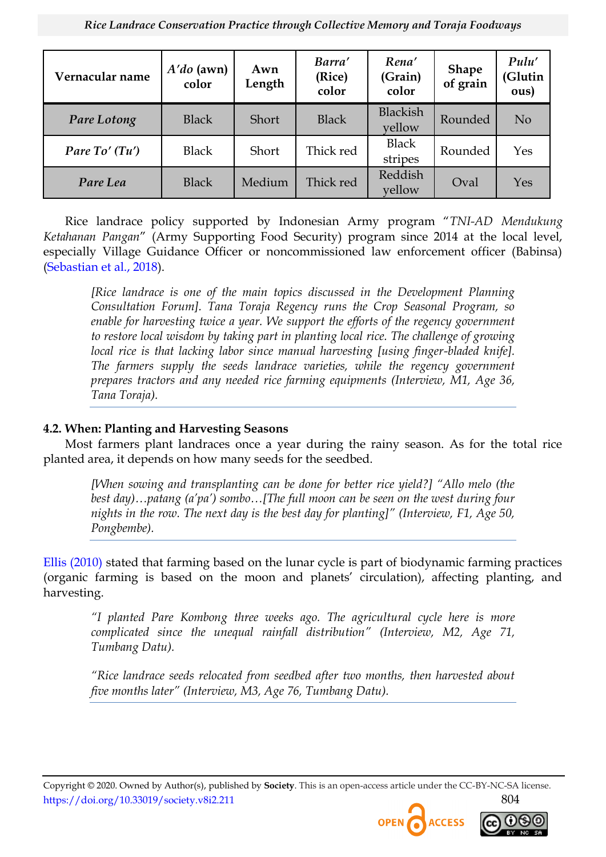| Vernacular name  | $A'do$ (awn)<br>color | Awn<br>Length | Barra'<br>(Rice)<br>color | Rena'<br>(Grain)<br>color | <b>Shape</b><br>of grain | Pulu'<br>(Glutin<br>ous) |
|------------------|-----------------------|---------------|---------------------------|---------------------------|--------------------------|--------------------------|
| Pare Lotong      | <b>Black</b>          | Short         | <b>Black</b>              | <b>Blackish</b><br>vellow | Rounded                  | N <sub>o</sub>           |
| Pare $To'$ (Tu') | <b>Black</b>          | Short         | Thick red                 | <b>Black</b><br>stripes   | Rounded                  | Yes                      |
| Pare Lea         | <b>Black</b>          | Medium        | Thick red                 | Reddish<br>vellow         | Oval                     | Yes                      |

Rice landrace policy supported by Indonesian Army program "TNI-AD Mendukung *Ketahanan Pangan*‖ (Army Supporting Food Security) program since 2014 at the local level, especially Village Guidance Officer or noncommissioned law enforcement officer (Babinsa) [\(Sebastian et al., 2018\)](#page-21-14).

*[Rice landrace is one of the main topics discussed in the Development Planning Consultation Forum]. Tana Toraja Regency runs the Crop Seasonal Program, so*  enable for harvesting twice a year. We support the efforts of the regency government *to restore local wisdom by taking part in planting local rice. The challenge of growing*  local rice is that lacking labor since manual harvesting [using finger-bladed knife]. The farmers supply the seeds landrace varieties, while the regency government *prepares tractors and any needed rice farming equipments (Interview, M1, Age 36, Tana Toraja).*

# **4.2. When: Planting and Harvesting Seasons**

Most farmers plant landraces once a year during the rainy season. As for the total rice planted area, it depends on how many seeds for the seedbed.

*[When sowing and transplanting can be done for better rice yield?] "Allo melo (the best day)…patang (a"pa") sombo…[The full moon can be seen on the west during four nights in the row. The next day is the best day for planting]" (Interview, F1, Age 50, Pongbembe).*

[Ellis \(2010\)](#page-19-10) stated that farming based on the lunar cycle is part of biodynamic farming practices (organic farming is based on the moon and planets' circulation), affecting planting, and harvesting.

*"I planted Pare Kombong three weeks ago. The agricultural cycle here is more complicated since the unequal rainfall distribution" (Interview, M2, Age 71, Tumbang Datu).*

*"Rice landrace seeds relocated from seedbed after two months, then harvested about five months later" (Interview, M3, Age 76, Tumbang Datu).*



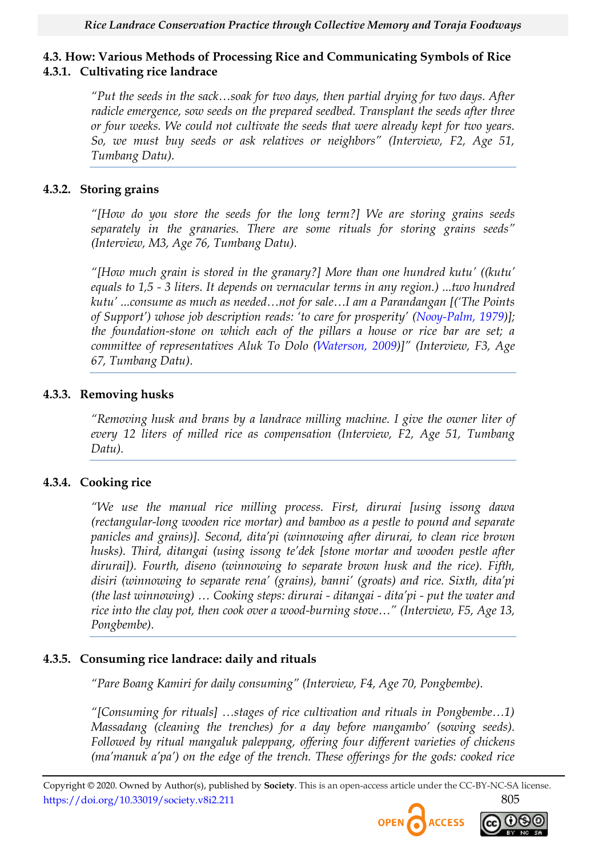# **4.3. How: Various Methods of Processing Rice and Communicating Symbols of Rice 4.3.1. Cultivating rice landrace**

*"Put the seeds in the sack…soak for two days, then partial drying for two days. After radicle emergence, sow seeds on the prepared seedbed. Transplant the seeds after three or four weeks. We could not cultivate the seeds that were already kept for two years. So, we must buy seeds or ask relatives or neighbors" (Interview, F2, Age 51, Tumbang Datu).*

# **4.3.2. Storing grains**

*"[How do you store the seeds for the long term?] We are storing grains seeds separately in the granaries. There are some rituals for storing grains seeds" (Interview, M3, Age 76, Tumbang Datu).*

*"[How much grain is stored in the granary?] More than one hundred kutu" ((kutu" equals to 1,5 - 3 liters. It depends on vernacular terms in any region.) ...two hundred kutu" ...consume as much as needed…not for sale…I am a Parandangan [("The Points of Support") whose job description reads: "to care for prosperity" ([Nooy-Palm, 1979\)](#page-21-2)]; the foundation-stone on which each of the pillars a house or rice bar are set; a committee of representatives Aluk To Dolo [\(Waterson, 2009](#page-22-8))]" (Interview, F3, Age 67, Tumbang Datu).*

# **4.3.3. Removing husks**

*"Removing husk and brans by a landrace milling machine. I give the owner liter of every 12 liters of milled rice as compensation (Interview, F2, Age 51, Tumbang Datu).*

# **4.3.4. Cooking rice**

*"We use the manual rice milling process. First, dirurai [using issong dawa (rectangular-long wooden rice mortar) and bamboo as a pestle to pound and separate panicles and grains)]. Second, dita"pi (winnowing after dirurai, to clean rice brown husks). Third, ditangai (using issong te"dek [stone mortar and wooden pestle after dirurai]). Fourth, diseno (winnowing to separate brown husk and the rice). Fifth, disiri (winnowing to separate rena" (grains), banni" (groats) and rice. Sixth, dita"pi (the last winnowing) … Cooking steps: dirurai - ditangai - dita"pi - put the water and rice into the clay pot, then cook over a wood-burning stove…" (Interview, F5, Age 13, Pongbembe).*

# **4.3.5. Consuming rice landrace: daily and rituals**

*"Pare Boang Kamiri for daily consuming" (Interview, F4, Age 70, Pongbembe).*

*"[Consuming for rituals] …stages of rice cultivation and rituals in Pongbembe…1) Massadang (cleaning the trenches) for a day before mangambo" (sowing seeds). Followed by ritual mangaluk paleppang, offering four different varieties of chickens (ma"manuk a"pa") on the edge of the trench. These offerings for the gods: cooked rice* 



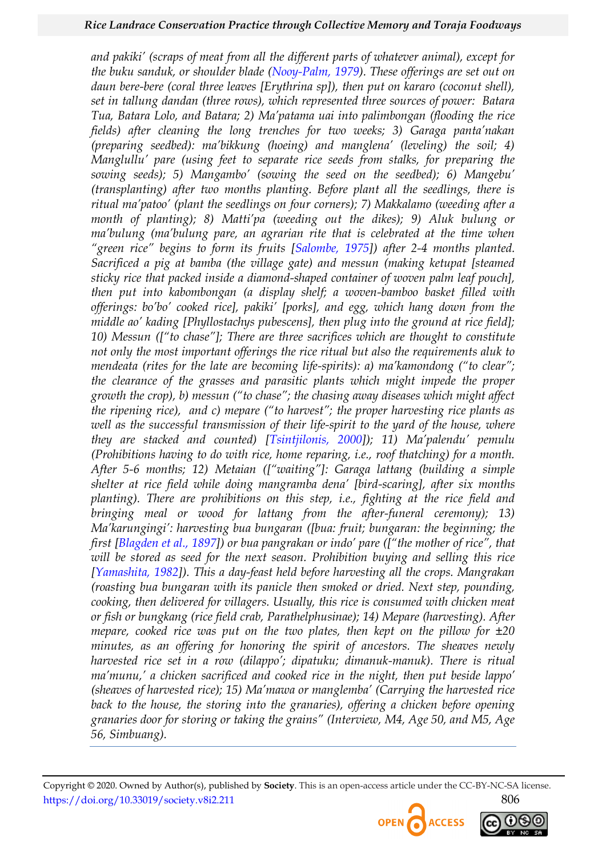*and pakiki" (scraps of meat from all the different parts of whatever animal), except for the buku sanduk, or shoulder blade [\(Nooy-Palm, 1979\)](#page-21-2). These offerings are set out on daun bere-bere (coral three leaves [Erythrina sp]), then put on kararo (coconut shell), set in tallung dandan (three rows), which represented three sources of power: Batara Tua, Batara Lolo, and Batara; 2) Ma"patama uai into palimbongan (flooding the rice fields) after cleaning the long trenches for two weeks; 3) Garaga panta"nakan (preparing seedbed): ma"bikkung (hoeing) and manglena" (leveling) the soil; 4) Manglullu" pare (using feet to separate rice seeds from stalks, for preparing the sowing seeds); 5) Mangambo" (sowing the seed on the seedbed); 6) Mangebu" (transplanting) after two months planting. Before plant all the seedlings, there is ritual ma"patoo" (plant the seedlings on four corners); 7) Makkalamo (weeding after a month of planting); 8) Matti"pa (weeding out the dikes); 9) Aluk bulung or ma"bulung (ma"bulung pare, an agrarian rite that is celebrated at the time when "green rice" begins to form its fruits [[Salombe, 1975\]](#page-21-15)) after 2-4 months planted. Sacrificed a pig at bamba (the village gate) and messun (making ketupat [steamed sticky rice that packed inside a diamond-shaped container of woven palm leaf pouch], then put into kabombongan (a display shelf; a woven-bamboo basket filled with offerings: bo"bo" cooked rice], pakiki" [porks], and egg, which hang down from the middle ao" kading [Phyllostachys pubescens], then plug into the ground at rice field]; 10) Messun (["to chase"]; There are three sacrifices which are thought to constitute not only the most important offerings the rice ritual but also the requirements aluk to mendeata (rites for the late are becoming life-spirits): a) ma"kamondong ("to clear"; the clearance of the grasses and parasitic plants which might impede the proper growth the crop), b) messun ("to chase"; the chasing away diseases which might affect the ripening rice), and c) mepare ("to harvest"; the proper harvesting rice plants as well as the successful transmission of their life-spirit to the yard of the house, where they are stacked and counted) [\[Tsintjilonis, 2000](#page-22-7)]); 11) Ma"palendu" pemulu (Prohibitions having to do with rice, home reparing, i.e., roof thatching) for a month. After 5-6 months; 12) Metaian (["waiting"]: Garaga lattang (building a simple shelter at rice field while doing mangramba dena" [bird-scaring], after six months planting). There are prohibitions on this step, i.e., fighting at the rice field and bringing meal or wood for lattang from the after-funeral ceremony); 13) Ma"karungingi": harvesting bua bungaran ([bua: fruit; bungaran: the beginning; the first [\[Blagden et al., 1897](#page-18-10)]) or bua pangrakan or indo" pare (["the mother of rice", that will be stored as seed for the next season. Prohibition buying and selling this rice [\[Yamashita, 1982\]](#page-22-9)). This a day-feast held before harvesting all the crops. Mangrakan (roasting bua bungaran with its panicle then smoked or dried. Next step, pounding, cooking, then delivered for villagers. Usually, this rice is consumed with chicken meat or fish or bungkang (rice field crab, Parathelphusinae); 14) Mepare (harvesting). After mepare, cooked rice was put on the two plates, then kept on the pillow for ±20 minutes, as an offering for honoring the spirit of ancestors. The sheaves newly harvested rice set in a row (dilappo"; dipatuku; dimanuk-manuk). There is ritual ma"munu," a chicken sacrificed and cooked rice in the night, then put beside lappo" (sheaves of harvested rice); 15) Ma"mawa or manglemba" (Carrying the harvested rice back to the house, the storing into the granaries), offering a chicken before opening granaries door for storing or taking the grains" (Interview, M4, Age 50, and M5, Age 56, Simbuang).*



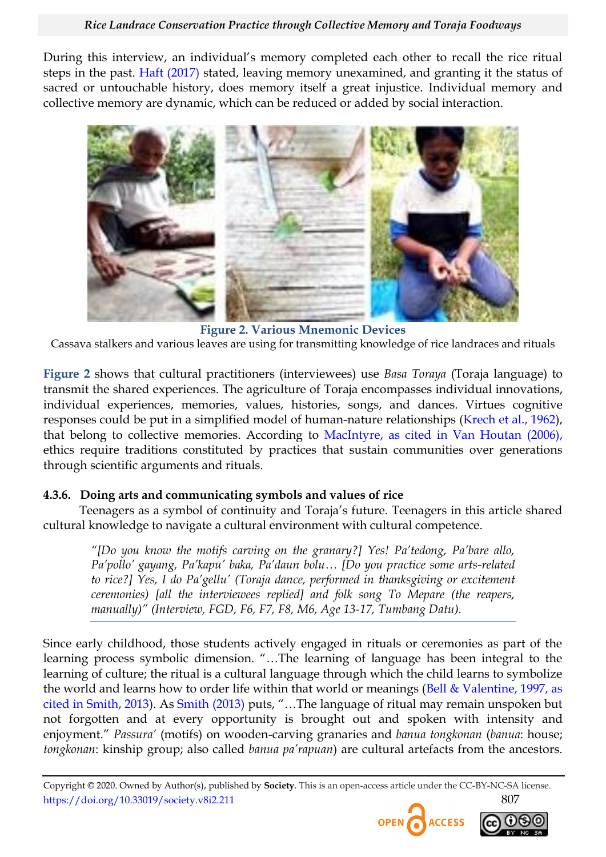During this interview, an individual's memory completed each other to recall the rice ritual steps in the past. [Haft \(2017\)](#page-19-11) stated, leaving memory unexamined, and granting it the status of sacred or untouchable history, does memory itself a great injustice. Individual memory and collective memory are dynamic, which can be reduced or added by social interaction.



**Figure 2. Various Mnemonic Devices** Cassava stalkers and various leaves are using for transmitting knowledge of rice landraces and rituals

<span id="page-13-0"></span>**[Figure 2](#page-13-0)** shows that cultural practitioners (interviewees) use *Basa Toraya* (Toraja language) to transmit the shared experiences. The agriculture of Toraja encompasses individual innovations, individual experiences, memories, values, histories, songs, and dances. Virtues cognitive responses could be put in a simplified model of human-nature relationships [\(Krech et al., 1962\)](#page-20-12), that belong to collective memories. According to [MacIntyre, as cited in Van Houtan](#page-22-10) (2006), ethics require traditions constituted by practices that sustain communities over generations through scientific arguments and rituals.

# **4.3.6. Doing arts and communicating symbols and values of rice**

Teenagers as a symbol of continuity and Toraja's future. Teenagers in this article shared cultural knowledge to navigate a cultural environment with cultural competence.

*"[Do you know the motifs carving on the granary?] Yes! Pa"tedong, Pa"bare allo, Pa"pollo" gayang, Pa"kapu" baka, Pa"daun bolu… [Do you practice some arts-related to rice?] Yes, I do Pa"gellu" (Toraja dance, performed in thanksgiving or excitement ceremonies) [all the interviewees replied] and folk song To Mepare (the reapers, manually)" (Interview, FGD, F6, F7, F8, M6, Age 13-17, Tumbang Datu).*

Since early childhood, those students actively engaged in rituals or ceremonies as part of the learning process symbolic dimension. "...The learning of language has been integral to the learning of culture; the ritual is a cultural language through which the child learns to symbolize the world and learns how to order life within that world or meanings [\(Bell & Valentine, 1997, as](#page-21-16)  [cited in Smith, 2013\)](#page-21-16). As [Smith \(2013\)](#page-21-16) puts, "...The language of ritual may remain unspoken but not forgotten and at every opportunity is brought out and spoken with intensity and enjoyment.‖ *Passura"* (motifs) on wooden-carving granaries and *banua tongkonan* (*banua*: house; *tongkonan*: kinship group; also called *banua pa"rapuan*) are cultural artefacts from the ancestors.



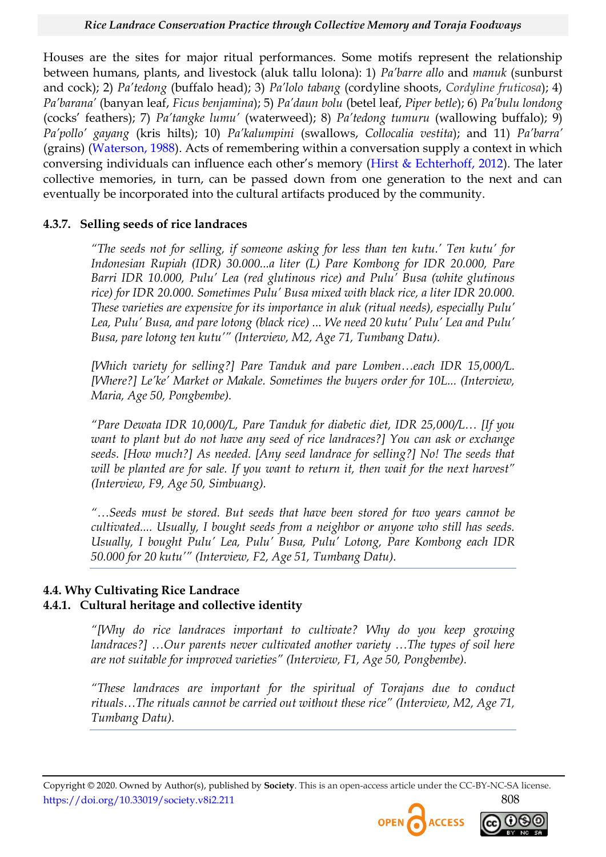Houses are the sites for major ritual performances. Some motifs represent the relationship between humans, plants, and livestock (aluk tallu lolona): 1) *Pa"barre allo* and *manuk* (sunburst and cock); 2) *Pa"tedong* (buffalo head); 3) *Pa"lolo tabang* (cordyline shoots, *Cordyline fruticosa*); 4) *Pa"barana"* (banyan leaf, *Ficus benjamina*); 5) *Pa"daun bolu* (betel leaf, *Piper betle*); 6) *Pa"bulu londong* (cocks' feathers); 7) *Pa"tangke lumu"* (waterweed); 8) *Pa"tedong tumuru* (wallowing buffalo); 9) *Pa"pollo" gayang* (kris hilts); 10) *Pa"kalumpini* (swallows, *Collocalia vestita*); and 11) *Pa"barra"* (grains) [\(Waterson, 1988\)](#page-22-11). Acts of remembering within a conversation supply a context in which conversing individuals can influence each other's memory ([Hirst & Echterhoff, 2012\)](#page-20-13). The later collective memories, in turn, can be passed down from one generation to the next and can eventually be incorporated into the cultural artifacts produced by the community.

#### **4.3.7. Selling seeds of rice landraces**

*"The seeds not for selling, if someone asking for less than ten kutu." Ten kutu" for Indonesian Rupiah (IDR) 30.000...a liter (L) Pare Kombong for IDR 20.000, Pare Barri IDR 10.000, Pulu" Lea (red glutinous rice) and Pulu" Busa (white glutinous rice) for IDR 20.000. Sometimes Pulu" Busa mixed with black rice, a liter IDR 20.000. These varieties are expensive for its importance in aluk (ritual needs), especially Pulu" Lea, Pulu" Busa, and pare lotong (black rice) ... We need 20 kutu" Pulu" Lea and Pulu" Busa, pare lotong ten kutu"" (Interview, M2, Age 71, Tumbang Datu).*

*[Which variety for selling?] Pare Tanduk and pare Lomben…each IDR 15,000/L. [Where?] Le"ke" Market or Makale. Sometimes the buyers order for 10L... (Interview, Maria, Age 50, Pongbembe).*

*"Pare Dewata IDR 10,000/L, Pare Tanduk for diabetic diet, IDR 25,000/L… [If you want to plant but do not have any seed of rice landraces?] You can ask or exchange seeds. [How much?] As needed. [Any seed landrace for selling?] No! The seeds that will be planted are for sale. If you want to return it, then wait for the next harvest" (Interview, F9, Age 50, Simbuang).*

*"…Seeds must be stored. But seeds that have been stored for two years cannot be cultivated.... Usually, I bought seeds from a neighbor or anyone who still has seeds. Usually, I bought Pulu" Lea, Pulu" Busa, Pulu" Lotong, Pare Kombong each IDR 50.000 for 20 kutu"" (Interview, F2, Age 51, Tumbang Datu).*

#### **4.4. Why Cultivating Rice Landrace 4.4.1. Cultural heritage and collective identity**

*"[Why do rice landraces important to cultivate? Why do you keep growing landraces?] …Our parents never cultivated another variety …The types of soil here are not suitable for improved varieties" (Interview, F1, Age 50, Pongbembe).*

*"These landraces are important for the spiritual of Torajans due to conduct rituals…The rituals cannot be carried out without these rice" (Interview, M2, Age 71, Tumbang Datu).*



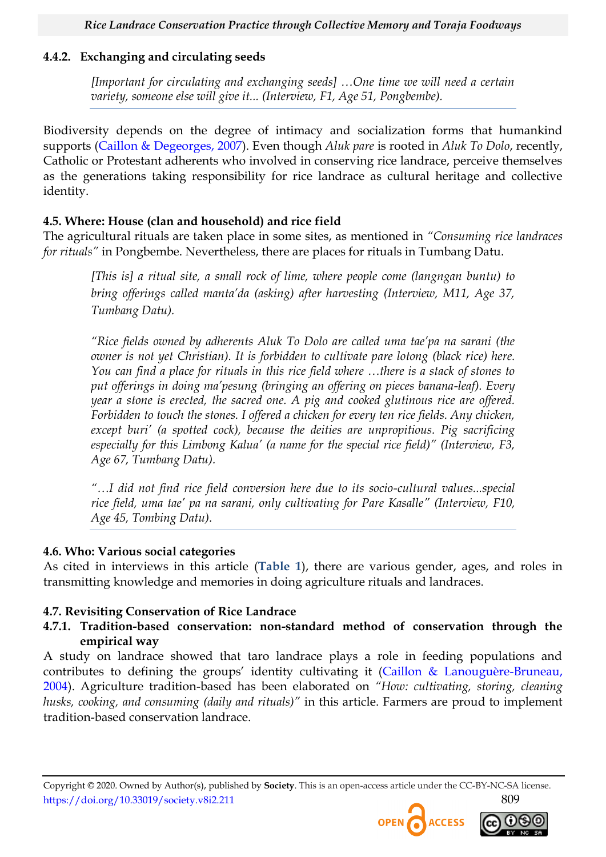# **4.4.2. Exchanging and circulating seeds**

*[Important for circulating and exchanging seeds] …One time we will need a certain variety, someone else will give it... (Interview, F1, Age 51, Pongbembe).*

Biodiversity depends on the degree of intimacy and socialization forms that humankind supports [\(Caillon & Degeorges, 2007\)](#page-19-12). Even though *Aluk pare* is rooted in *Aluk To Dolo*, recently, Catholic or Protestant adherents who involved in conserving rice landrace, perceive themselves as the generations taking responsibility for rice landrace as cultural heritage and collective identity.

# **4.5. Where: House (clan and household) and rice field**

The agricultural rituals are taken place in some sites, as mentioned in *"Consuming rice landraces for rituals"* in Pongbembe. Nevertheless, there are places for rituals in Tumbang Datu.

*[This is] a ritual site, a small rock of lime, where people come (langngan buntu) to bring offerings called manta"da (asking) after harvesting (Interview, M11, Age 37, Tumbang Datu).*

*"Rice fields owned by adherents Aluk To Dolo are called uma tae"pa na sarani (the owner is not yet Christian). It is forbidden to cultivate pare lotong (black rice) here. You can find a place for rituals in this rice field where …there is a stack of stones to put offerings in doing ma"pesung (bringing an offering on pieces banana-leaf). Every year a stone is erected, the sacred one. A pig and cooked glutinous rice are offered. Forbidden to touch the stones. I offered a chicken for every ten rice fields. Any chicken, except buri" (a spotted cock), because the deities are unpropitious. Pig sacrificing especially for this Limbong Kalua" (a name for the special rice field)" (Interview, F3, Age 67, Tumbang Datu).*

*"…I did not find rice field conversion here due to its socio-cultural values...special rice field, uma tae" pa na sarani, only cultivating for Pare Kasalle" (Interview, F10, Age 45, Tombing Datu).*

# **4.6. Who: Various social categories**

As cited in interviews in this article (**[Table 1](#page-6-0)**), there are various gender, ages, and roles in transmitting knowledge and memories in doing agriculture rituals and landraces.

# **4.7. Revisiting Conservation of Rice Landrace**

# **4.7.1. Tradition-based conservation: non-standard method of conservation through the empirical way**

A study on landrace showed that taro landrace plays a role in feeding populations and contributes to defining the groups' identity cultivating it [\(Caillon & Lanouguère-Bruneau,](#page-18-11)  [2004\)](#page-18-11). Agriculture tradition-based has been elaborated on *"How: cultivating, storing, cleaning husks, cooking, and consuming (daily and rituals)"* in this article. Farmers are proud to implement tradition-based conservation landrace.



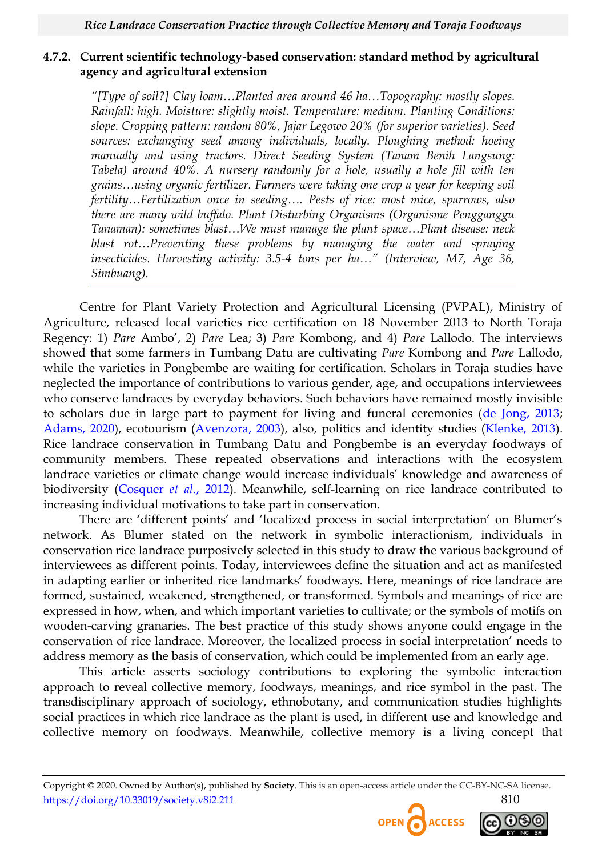## **4.7.2. Current scientific technology-based conservation: standard method by agricultural agency and agricultural extension**

*"[Type of soil?] Clay loam…Planted area around 46 ha…Topography: mostly slopes. Rainfall: high. Moisture: slightly moist. Temperature: medium. Planting Conditions: slope. Cropping pattern: random 80%, Jajar Legowo 20% (for superior varieties). Seed sources: exchanging seed among individuals, locally. Ploughing method: hoeing manually and using tractors. Direct Seeding System (Tanam Benih Langsung: Tabela) around 40%. A nursery randomly for a hole, usually a hole fill with ten grains…using organic fertilizer. Farmers were taking one crop a year for keeping soil fertility…Fertilization once in seeding…. Pests of rice: most mice, sparrows, also there are many wild buffalo. Plant Disturbing Organisms (Organisme Pengganggu Tanaman): sometimes blast…We must manage the plant space…Plant disease: neck blast rot…Preventing these problems by managing the water and spraying insecticides. Harvesting activity: 3.5-4 tons per ha…" (Interview, M7, Age 36, Simbuang).*

Centre for Plant Variety Protection and Agricultural Licensing (PVPAL), Ministry of Agriculture, released local varieties rice certification on 18 November 2013 to North Toraja Regency: 1) *Pare* Ambo', 2) *Pare* Lea; 3) *Pare* Kombong, and 4) *Pare* Lallodo. The interviews showed that some farmers in Tumbang Datu are cultivating *Pare* Kombong and *Pare* Lallodo, while the varieties in Pongbembe are waiting for certification. Scholars in Toraja studies have neglected the importance of contributions to various gender, age, and occupations interviewees who conserve landraces by everyday behaviors. Such behaviors have remained mostly invisible to scholars due in large part to payment for living and funeral ceremonies [\(de Jong, 2013;](#page-19-13) [Adams, 2020\)](#page-18-12), ecotourism [\(Avenzora, 2003\)](#page-18-13), also, politics and identity studies [\(Klenke, 2013\)](#page-20-14). Rice landrace conservation in Tumbang Datu and Pongbembe is an everyday foodways of community members. These repeated observations and interactions with the ecosystem landrace varieties or climate change would increase individuals' knowledge and awareness of biodiversity [\(Cosquer](#page-19-14) *et al*., 2012). Meanwhile, self-learning on rice landrace contributed to increasing individual motivations to take part in conservation.

There are 'different points' and 'localized process in social interpretation' on Blumer's network. As Blumer stated on the network in symbolic interactionism, individuals in conservation rice landrace purposively selected in this study to draw the various background of interviewees as different points. Today, interviewees define the situation and act as manifested in adapting earlier or inherited rice landmarks' foodways. Here, meanings of rice landrace are formed, sustained, weakened, strengthened, or transformed. Symbols and meanings of rice are expressed in how, when, and which important varieties to cultivate; or the symbols of motifs on wooden-carving granaries. The best practice of this study shows anyone could engage in the conservation of rice landrace. Moreover, the localized process in social interpretation' needs to address memory as the basis of conservation, which could be implemented from an early age.

This article asserts sociology contributions to exploring the symbolic interaction approach to reveal collective memory, foodways, meanings, and rice symbol in the past. The transdisciplinary approach of sociology, ethnobotany, and communication studies highlights social practices in which rice landrace as the plant is used, in different use and knowledge and collective memory on foodways. Meanwhile, collective memory is a living concept that

Copyright © 2020. Owned by Author(s), published by **Society**. This is an open-access article under the CC-BY-NC-SA license. https://doi.org/10.33019/society.v8i2.211 810



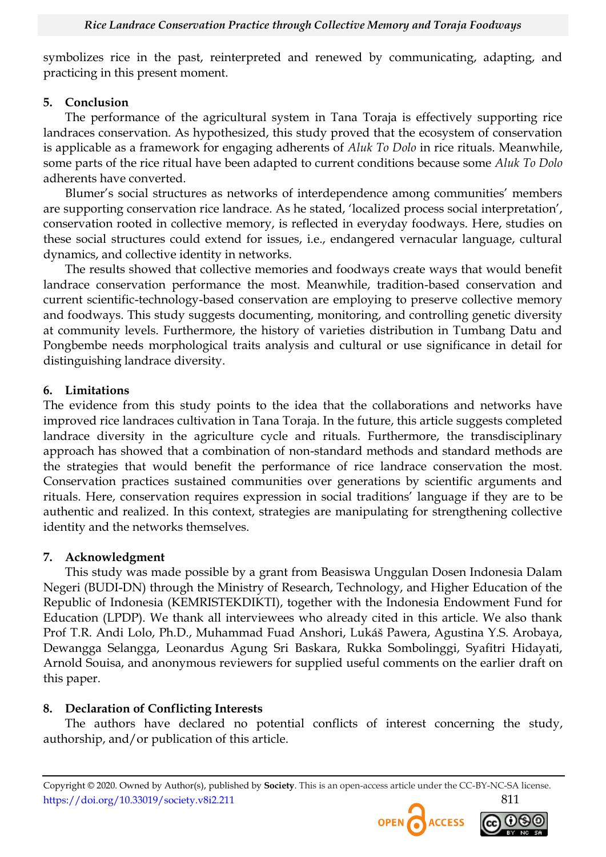symbolizes rice in the past, reinterpreted and renewed by communicating, adapting, and practicing in this present moment.

#### **5. Conclusion**

The performance of the agricultural system in Tana Toraja is effectively supporting rice landraces conservation. As hypothesized, this study proved that the ecosystem of conservation is applicable as a framework for engaging adherents of *Aluk To Dolo* in rice rituals. Meanwhile, some parts of the rice ritual have been adapted to current conditions because some *Aluk To Dolo* adherents have converted.

Blumer's social structures as networks of interdependence among communities' members are supporting conservation rice landrace. As he stated, 'localized process social interpretation', conservation rooted in collective memory, is reflected in everyday foodways. Here, studies on these social structures could extend for issues, i.e., endangered vernacular language, cultural dynamics, and collective identity in networks.

The results showed that collective memories and foodways create ways that would benefit landrace conservation performance the most. Meanwhile, tradition-based conservation and current scientific-technology-based conservation are employing to preserve collective memory and foodways. This study suggests documenting, monitoring, and controlling genetic diversity at community levels. Furthermore, the history of varieties distribution in Tumbang Datu and Pongbembe needs morphological traits analysis and cultural or use significance in detail for distinguishing landrace diversity.

#### **6. Limitations**

The evidence from this study points to the idea that the collaborations and networks have improved rice landraces cultivation in Tana Toraja. In the future, this article suggests completed landrace diversity in the agriculture cycle and rituals. Furthermore, the transdisciplinary approach has showed that a combination of non-standard methods and standard methods are the strategies that would benefit the performance of rice landrace conservation the most. Conservation practices sustained communities over generations by scientific arguments and rituals. Here, conservation requires expression in social traditions' language if they are to be authentic and realized. In this context, strategies are manipulating for strengthening collective identity and the networks themselves.

# **7. Acknowledgment**

This study was made possible by a grant from Beasiswa Unggulan Dosen Indonesia Dalam Negeri (BUDI-DN) through the Ministry of Research, Technology, and Higher Education of the Republic of Indonesia (KEMRISTEKDIKTI), together with the Indonesia Endowment Fund for Education (LPDP). We thank all interviewees who already cited in this article. We also thank Prof T.R. Andi Lolo, Ph.D., Muhammad Fuad Anshori, Lukáš Pawera, Agustina Y.S. Arobaya, Dewangga Selangga, Leonardus Agung Sri Baskara, Rukka Sombolinggi, Syafitri Hidayati, Arnold Souisa, and anonymous reviewers for supplied useful comments on the earlier draft on this paper.

# **8. Declaration of Conflicting Interests**

The authors have declared no potential conflicts of interest concerning the study, authorship, and/or publication of this article.

Copyright © 2020. Owned by Author(s), published by **Society**. This is an open-access article under the CC-BY-NC-SA license. https://doi.org/10.33019/society.v8i2.211 811



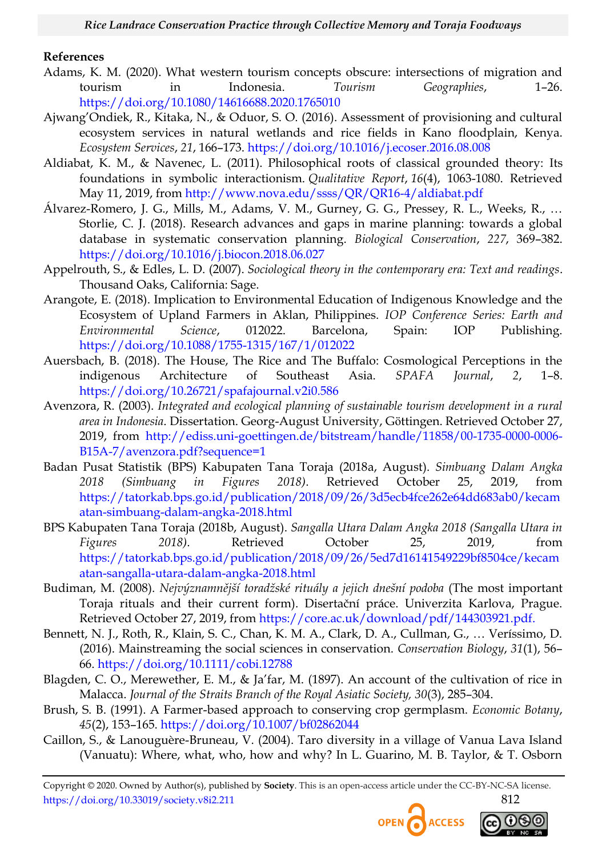#### **References**

- <span id="page-18-12"></span>Adams, K. M. (2020). What western tourism concepts obscure: intersections of migration and tourism in Indonesia. *Tourism Geographies*, 1–26. <https://doi.org/10.1080/14616688.2020.1765010>
- <span id="page-18-1"></span>Ajwang'Ondiek, R., Kitaka, N., & Oduor, S. O. (2016). Assessment of provisioning and cultural ecosystem services in natural wetlands and rice fields in Kano floodplain, Kenya. *Ecosystem Services*, *21*, 166–173.<https://doi.org/10.1016/j.ecoser.2016.08.008>
- <span id="page-18-4"></span>Aldiabat, K. M., & Navenec, L. (2011). Philosophical roots of classical grounded theory: Its foundations in symbolic interactionism. *Qualitative Report*, *16*(4), 1063-1080. Retrieved May 11, 2019, from<http://www.nova.edu/ssss/QR/QR16-4/aldiabat.pdf>
- <span id="page-18-2"></span>Álvarez-Romero, J. G., Mills, M., Adams, V. M., Gurney, G. G., Pressey, R. L., Weeks, R., … Storlie, C. J. (2018). Research advances and gaps in marine planning: towards a global database in systematic conservation planning. *Biological Conservation*, *227*, 369–382. <https://doi.org/10.1016/j.biocon.2018.06.027>
- <span id="page-18-5"></span>Appelrouth, S., & Edles, L. D. (2007). *Sociological theory in the contemporary era: Text and readings*. Thousand Oaks, California: Sage.
- <span id="page-18-3"></span>Arangote, E. (2018). Implication to Environmental Education of Indigenous Knowledge and the Ecosystem of Upland Farmers in Aklan, Philippines. *IOP Conference Series: Earth and Environmental Science*, 012022. Barcelona, Spain: IOP Publishing. <https://doi.org/10.1088/1755-1315/167/1/012022>
- <span id="page-18-9"></span>Auersbach, B. (2018). The House, The Rice and The Buffalo: Cosmological Perceptions in the indigenous Architecture of Southeast Asia. *SPAFA Journal*, *2*, 1–8. <https://doi.org/10.26721/spafajournal.v2i0.586>
- <span id="page-18-13"></span>Avenzora, R. (2003). *Integrated and ecological planning of sustainable tourism development in a rural area in Indonesia*. Dissertation. Georg-August University, Gӧttingen. Retrieved October 27, 2019, from [http://ediss.uni-goettingen.de/bitstream/handle/11858/00-1735-0000-0006-](http://ediss.uni-goettingen.de/bitstream/handle/11858/00-1735-0000-0006-B15A-7/avenzora.pdf?sequence=1) [B15A-7/avenzora.pdf?sequence=1](http://ediss.uni-goettingen.de/bitstream/handle/11858/00-1735-0000-0006-B15A-7/avenzora.pdf?sequence=1)
- <span id="page-18-6"></span>Badan Pusat Statistik (BPS) Kabupaten Tana Toraja (2018a, August). *Simbuang Dalam Angka 2018 (Simbuang in Figures 2018)*. Retrieved October 25, 2019, from [https://tatorkab.bps.go.id/publication/2018/09/26/3d5ecb4fce262e64dd683ab0/kecam](https://tatorkab.bps.go.id/publication/2018/09/26/3d5ecb4fce262e64dd683ab0/kecamatan-simbuang-dalam-angka-2018.html) [atan-simbuang-dalam-angka-2018.html](https://tatorkab.bps.go.id/publication/2018/09/26/3d5ecb4fce262e64dd683ab0/kecamatan-simbuang-dalam-angka-2018.html)
- <span id="page-18-7"></span>BPS Kabupaten Tana Toraja (2018b, August). *Sangalla Utara Dalam Angka 2018 (Sangalla Utara in Figures 2018)*. Retrieved October 25, 2019, from [https://tatorkab.bps.go.id/publication/2018/09/26/5ed7d16141549229bf8504ce/kecam](https://tatorkab.bps.go.id/publication/2018/09/26/5ed7d16141549229bf8504ce/kecamatan-sangalla-utara-dalam-angka-2018.html) [atan-sangalla-utara-dalam-angka-2018.html](https://tatorkab.bps.go.id/publication/2018/09/26/5ed7d16141549229bf8504ce/kecamatan-sangalla-utara-dalam-angka-2018.html)
- <span id="page-18-8"></span>Budiman, M. (2008). *Nejvýznamnější toradžské rituály a jejich dnešní podoba* (The most important Toraja rituals and their current form). Disertační práce. Univerzita Karlova, Prague. Retrieved October 27, 2019, from [https://core.ac.uk/download/pdf/144303921.pdf.](https://core.ac.uk/download/pdf/144303921.pdf)
- Bennett, N. J., Roth, R., Klain, S. C., Chan, K. M. A., Clark, D. A., Cullman, G., … Veríssimo, D. (2016). Mainstreaming the social sciences in conservation. *Conservation Biology*, *31*(1), 56– 66.<https://doi.org/10.1111/cobi.12788>
- <span id="page-18-10"></span>Blagden, C. O., Merewether, E. M., & Ja'far, M. (1897). An account of the cultivation of rice in Malacca. *Journal of the Straits Branch of the Royal Asiatic Society, 30*(3), 285–304.
- <span id="page-18-0"></span>Brush, S. B. (1991). A Farmer-based approach to conserving crop germplasm. *Economic Botany*, *45*(2), 153–165.<https://doi.org/10.1007/bf02862044>
- <span id="page-18-11"></span>Caillon, S., & Lanouguère-Bruneau, V. (2004). Taro diversity in a village of Vanua Lava Island (Vanuatu): Where, what, who, how and why? In L. Guarino, M. B. Taylor, & T. Osborn



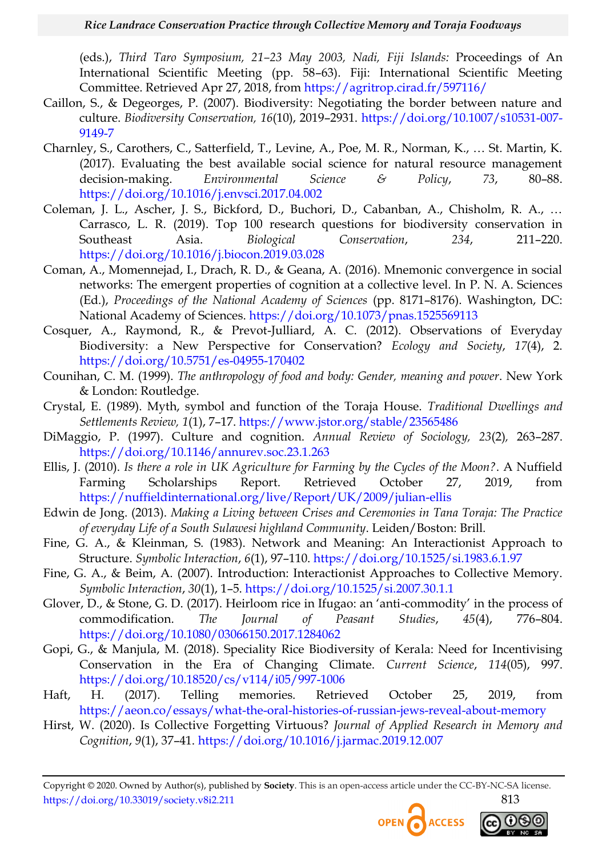(eds.), *Third Taro Symposium, 21–23 May 2003, Nadi, Fiji Islands:* Proceedings of An International Scientific Meeting (pp. 58–63). Fiji: International Scientific Meeting Committee. Retrieved Apr 27, 2018, from<https://agritrop.cirad.fr/597116/>

- <span id="page-19-12"></span>Caillon, S., & Degeorges, P. (2007). Biodiversity: Negotiating the border between nature and culture. *Biodiversity Conservation, 16*(10), 2019–2931. [https://doi.org/10.1007/s10531-007-](https://doi.org/10.1007/s10531-007-9149-7) [9149-7](https://doi.org/10.1007/s10531-007-9149-7)
- <span id="page-19-1"></span>Charnley, S., Carothers, C., Satterfield, T., Levine, A., Poe, M. R., Norman, K., … St. Martin, K. (2017). Evaluating the best available social science for natural resource management decision-making. *Environmental Science & Policy*, *73*, 80–88. <https://doi.org/10.1016/j.envsci.2017.04.002>
- <span id="page-19-2"></span>Coleman, J. L., Ascher, J. S., Bickford, D., Buchori, D., Cabanban, A., Chisholm, R. A., … Carrasco, L. R. (2019). Top 100 research questions for biodiversity conservation in Southeast Asia. *Biological Conservation*, *234*, 211–220. <https://doi.org/10.1016/j.biocon.2019.03.028>
- <span id="page-19-5"></span>Coman, A., Momennejad, I., Drach, R. D., & Geana, A. (2016). Mnemonic convergence in social networks: The emergent properties of cognition at a collective level. In P. N. A. Sciences (Ed.), *Proceedings of the National Academy of Sciences* (pp. 8171–8176). Washington, DC: National Academy of Sciences.<https://doi.org/10.1073/pnas.1525569113>
- <span id="page-19-14"></span>Cosquer, A., Raymond, R., & Prevot-Julliard, A. C. (2012). Observations of Everyday Biodiversity: a New Perspective for Conservation? *Ecology and Society*, *17*(4), 2. <https://doi.org/10.5751/es-04955-170402>
- <span id="page-19-0"></span>Counihan, C. M. (1999). *The anthropology of food and body: Gender, meaning and power*. New York & London: Routledge.
- <span id="page-19-9"></span>Crystal, E. (1989). Myth, symbol and function of the Toraja House. *Traditional Dwellings and Settlements Review, 1*(1), 7–17.<https://www.jstor.org/stable/23565486>
- <span id="page-19-8"></span>DiMaggio, P. (1997). Culture and cognition. *Annual Review of Sociology, 23*(2)*,* 263–287. <https://doi.org/10.1146/annurev.soc.23.1.263>
- Ellis, J. (2010). *Is there a role in UK Agriculture for Farming by the Cycles of the Moon?*. A Nuffield Farming Scholarships Report. Retrieved October 27, 2019, from <https://nuffieldinternational.org/live/Report/UK/2009/julian-ellis>
- <span id="page-19-10"></span>Edwin de Jong. (2013). *Making a Living between Crises and Ceremonies in Tana Toraja: The Practice of everyday Life of a South Sulawesi highland Community*. Leiden/Boston: Brill.
- <span id="page-19-13"></span>Fine, G. A., & Kleinman, S. (1983). Network and Meaning: An Interactionist Approach to Structure. *Symbolic Interaction*, *6*(1), 97–110.<https://doi.org/10.1525/si.1983.6.1.97>
- <span id="page-19-7"></span>Fine, G. A., & Beim, A. (2007). Introduction: Interactionist Approaches to Collective Memory. *Symbolic Interaction*, *30*(1), 1–5.<https://doi.org/10.1525/si.2007.30.1.1>
- <span id="page-19-3"></span>Glover, D., & Stone, G. D. (2017). Heirloom rice in Ifugao: an 'anti-commodity' in the process of commodification. *The Journal of Peasant Studies*, *45*(4), 776–804. <https://doi.org/10.1080/03066150.2017.1284062>
- <span id="page-19-4"></span>Gopi, G., & Manjula, M. (2018). Speciality Rice Biodiversity of Kerala: Need for Incentivising Conservation in the Era of Changing Climate. *Current Science*, *114*(05), 997. <https://doi.org/10.18520/cs/v114/i05/997-1006>
- <span id="page-19-11"></span>Haft, H. (2017). Telling memories. Retrieved October 25, 2019, from <https://aeon.co/essays/what-the-oral-histories-of-russian-jews-reveal-about-memory>
- <span id="page-19-6"></span>Hirst, W. (2020). Is Collective Forgetting Virtuous? *Journal of Applied Research in Memory and Cognition*, *9*(1), 37–41.<https://doi.org/10.1016/j.jarmac.2019.12.007>



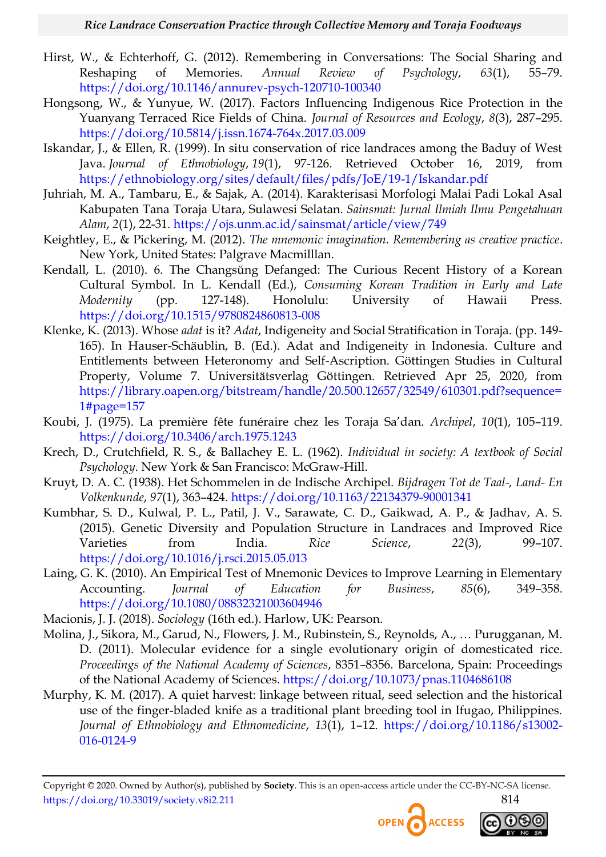- <span id="page-20-13"></span>Hirst, W., & Echterhoff, G. (2012). Remembering in Conversations: The Social Sharing and Reshaping of Memories. *Annual Review of Psychology*, *63*(1), 55–79. <https://doi.org/10.1146/annurev-psych-120710-100340>
- <span id="page-20-0"></span>Hongsong, W., & Yunyue, W. (2017). Factors Influencing Indigenous Rice Protection in the Yuanyang Terraced Rice Fields of China. *Journal of Resources and Ecology*, *8*(3), 287–295. <https://doi.org/10.5814/j.issn.1674-764x.2017.03.009>
- <span id="page-20-5"></span>Iskandar, J., & Ellen, R. (1999). In situ conservation of rice landraces among the Baduy of West Java. *Journal of Ethnobiology*, *19*(1), 97-126. Retrieved October 16, 2019, from <https://ethnobiology.org/sites/default/files/pdfs/JoE/19-1/Iskandar.pdf>
- <span id="page-20-3"></span>Juhriah, M. A., Tambaru, E., & Sajak, A. (2014). Karakterisasi Morfologi Malai Padi Lokal Asal Kabupaten Tana Toraja Utara, Sulawesi Selatan. *Sainsmat: Jurnal Ilmiah Ilmu Pengetahuan Alam*, *2*(1), 22-31.<https://ojs.unm.ac.id/sainsmat/article/view/749>
- <span id="page-20-8"></span>Keightley, E., & Pickering, M. (2012). *The mnemonic imagination. Remembering as creative practice*. New York, United States: Palgrave Macmilllan.
- <span id="page-20-10"></span>Kendall, L. (2010). 6. The Changsŭng Defanged: The Curious Recent History of a Korean Cultural Symbol. In L. Kendall (Ed.), *Consuming Korean Tradition in Early and Late Modernity* (pp. 127-148). Honolulu: University of Hawaii Press. <https://doi.org/10.1515/9780824860813-008>
- <span id="page-20-14"></span>Klenke, K. (2013). Whose *adat* is it? *Adat*, Indigeneity and Social Stratification in Toraja. (pp. 149- 165). In Hauser-Schäublin, B. (Ed.). Adat and Indigeneity in Indonesia. Culture and Entitlements between Heteronomy and Self-Ascription. Göttingen Studies in Cultural Property, Volume 7. Universitätsverlag Göttingen. Retrieved Apr 25, 2020, from [https://library.oapen.org/bitstream/handle/20.500.12657/32549/610301.pdf?sequence=](https://library.oapen.org/bitstream/handle/20.500.12657/32549/610301.pdf?sequence=1#page=157) [1#page=157](https://library.oapen.org/bitstream/handle/20.500.12657/32549/610301.pdf?sequence=1#page=157)
- <span id="page-20-11"></span>Koubi, J. (1975). La première fête funéraire chez les Toraja Sa'dan. *Archipel*, *10*(1), 105–119. <https://doi.org/10.3406/arch.1975.1243>
- <span id="page-20-12"></span>Krech, D., Crutchfield, R. S., & Ballachey E. L. (1962). *Individual in society: A textbook of Social Psychology*. New York & San Francisco: McGraw-Hill.
- <span id="page-20-9"></span>Kruyt, D. A. C. (1938). Het Schommelen in de Indische Archipel. *Bijdragen Tot de Taal-, Land- En Volkenkunde*, *97*(1), 363–424.<https://doi.org/10.1163/22134379-90001341>
- <span id="page-20-1"></span>Kumbhar, S. D., Kulwal, P. L., Patil, J. V., Sarawate, C. D., Gaikwad, A. P., & Jadhav, A. S. (2015). Genetic Diversity and Population Structure in Landraces and Improved Rice Varieties from India. *Rice Science*, *22*(3), 99–107. <https://doi.org/10.1016/j.rsci.2015.05.013>
- <span id="page-20-7"></span>Laing, G. K. (2010). An Empirical Test of Mnemonic Devices to Improve Learning in Elementary Accounting. *Journal of Education for Business*, *85*(6), 349–358. <https://doi.org/10.1080/08832321003604946>
- <span id="page-20-4"></span>Macionis, J. J. (2018). *Sociology* (16th ed.). Harlow, UK: Pearson.
- <span id="page-20-6"></span>Molina, J., Sikora, M., Garud, N., Flowers, J. M., Rubinstein, S., Reynolds, A., … Purugganan, M. D. (2011). Molecular evidence for a single evolutionary origin of domesticated rice. *Proceedings of the National Academy of Sciences*, 8351–8356. Barcelona, Spain: Proceedings of the National Academy of Sciences.<https://doi.org/10.1073/pnas.1104686108>
- <span id="page-20-2"></span>Murphy, K. M. (2017). A quiet harvest: linkage between ritual, seed selection and the historical use of the finger-bladed knife as a traditional plant breeding tool in Ifugao, Philippines. *Journal of Ethnobiology and Ethnomedicine*, *13*(1), 1–12. [https://doi.org/10.1186/s13002-](https://doi.org/10.1186/s13002-016-0124-9) [016-0124-9](https://doi.org/10.1186/s13002-016-0124-9)

Copyright © 2020. Owned by Author(s), published by **Society**. This is an open-access article under the CC-BY-NC-SA license. https://doi.org/10.33019/society.v8i2.211 814



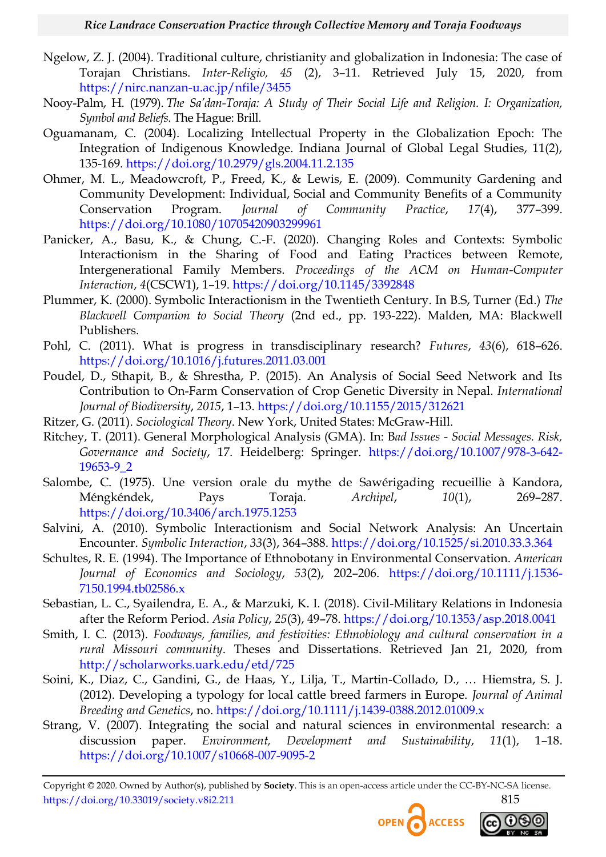- <span id="page-21-8"></span>Ngelow, Z. J. (2004). Traditional culture, christianity and globalization in Indonesia: The case of Torajan Christians. *Inter-Religio, 45* (2), 3–11. Retrieved July 15, 2020, from <https://nirc.nanzan-u.ac.jp/nfile/3455>
- <span id="page-21-2"></span>Nooy-Palm, H. (1979). *The Sa"dan-Toraja: A Study of Their Social Life and Religion. I: Organization, Symbol and Beliefs*. The Hague: Brill.
- <span id="page-21-1"></span>Oguamanam, C. (2004). Localizing Intellectual Property in the Globalization Epoch: The Integration of Indigenous Knowledge. Indiana Journal of Global Legal Studies, 11(2), 135-169.<https://doi.org/10.2979/gls.2004.11.2.135>
- <span id="page-21-11"></span>Ohmer, M. L., Meadowcroft, P., Freed, K., & Lewis, E. (2009). Community Gardening and Community Development: Individual, Social and Community Benefits of a Community Conservation Program. *Journal of Community Practice*, *17*(4), 377–399. <https://doi.org/10.1080/10705420903299961>
- <span id="page-21-13"></span>Panicker, A., Basu, K., & Chung, C.-F. (2020). Changing Roles and Contexts: Symbolic Interactionism in the Sharing of Food and Eating Practices between Remote, Intergenerational Family Members. *Proceedings of the ACM on Human-Computer Interaction*, *4*(CSCW1), 1–19.<https://doi.org/10.1145/3392848>
- <span id="page-21-4"></span>Plummer, K. (2000). Symbolic Interactionism in the Twentieth Century. In B.S, Turner (Ed.) *The Blackwell Companion to Social Theory* (2nd ed., pp. 193-222). Malden, MA: Blackwell Publishers.
- <span id="page-21-6"></span>Pohl, C. (2011). What is progress in transdisciplinary research? *Futures*, *43*(6), 618–626. <https://doi.org/10.1016/j.futures.2011.03.001>
- <span id="page-21-10"></span>Poudel, D., Sthapit, B., & Shrestha, P. (2015). An Analysis of Social Seed Network and Its Contribution to On-Farm Conservation of Crop Genetic Diversity in Nepal. *International Journal of Biodiversity*, *2015*, 1–13.<https://doi.org/10.1155/2015/312621>
- <span id="page-21-3"></span>Ritzer, G. (2011). *Sociological Theory*. New York, United States: McGraw-Hill.
- <span id="page-21-12"></span>Ritchey, T. (2011). General Morphological Analysis (GMA). In: B*ad Issues - Social Messages. Risk, Governance and Society*, 17. Heidelberg: Springer. [https://doi.org/10.1007/978-3-642-](https://doi.org/10.1007/978-3-642-19653-9_2) [19653-9\\_2](https://doi.org/10.1007/978-3-642-19653-9_2)
- <span id="page-21-15"></span>Salombe, C. (1975). Une version orale du mythe de Sawérigading recueillie à Kandora, Méngkéndek, Pays Toraja. *Archipel*, *10*(1), 269–287. <https://doi.org/10.3406/arch.1975.1253>
- <span id="page-21-9"></span>Salvini, A. (2010). Symbolic Interactionism and Social Network Analysis: An Uncertain Encounter. *Symbolic Interaction*, *33*(3), 364–388.<https://doi.org/10.1525/si.2010.33.3.364>
- <span id="page-21-5"></span>Schultes, R. E. (1994). The Importance of Ethnobotany in Environmental Conservation. *American Journal of Economics and Sociology*, *53*(2), 202–206. [https://doi.org/10.1111/j.1536-](https://doi.org/10.1111/j.1536-7150.1994.tb02586.x) [7150.1994.tb02586.x](https://doi.org/10.1111/j.1536-7150.1994.tb02586.x)
- <span id="page-21-14"></span>Sebastian, L. C., Syailendra, E. A., & Marzuki, K. I. (2018). Civil-Military Relations in Indonesia after the Reform Period. *Asia Policy*, *25*(3), 49–78.<https://doi.org/10.1353/asp.2018.0041>
- <span id="page-21-16"></span>Smith, I. C. (2013). *Foodways, families, and festivities: Ethnobiology and cultural conservation in a rural Missouri community*. Theses and Dissertations. Retrieved Jan 21, 2020, from <http://scholarworks.uark.edu/etd/725>
- <span id="page-21-0"></span>Soini, K., Diaz, C., Gandini, G., de Haas, Y., Lilja, T., Martin-Collado, D., … Hiemstra, S. J. (2012). Developing a typology for local cattle breed farmers in Europe. *Journal of Animal Breeding and Genetics*, no.<https://doi.org/10.1111/j.1439-0388.2012.01009.x>
- <span id="page-21-7"></span>Strang, V. (2007). Integrating the social and natural sciences in environmental research: a discussion paper. *Environment, Development and Sustainability*, *11*(1), 1–18. <https://doi.org/10.1007/s10668-007-9095-2>

Copyright © 2020. Owned by Author(s), published by **Society**. This is an open-access article under the CC-BY-NC-SA license. https://doi.org/10.33019/society.v8i2.211 815



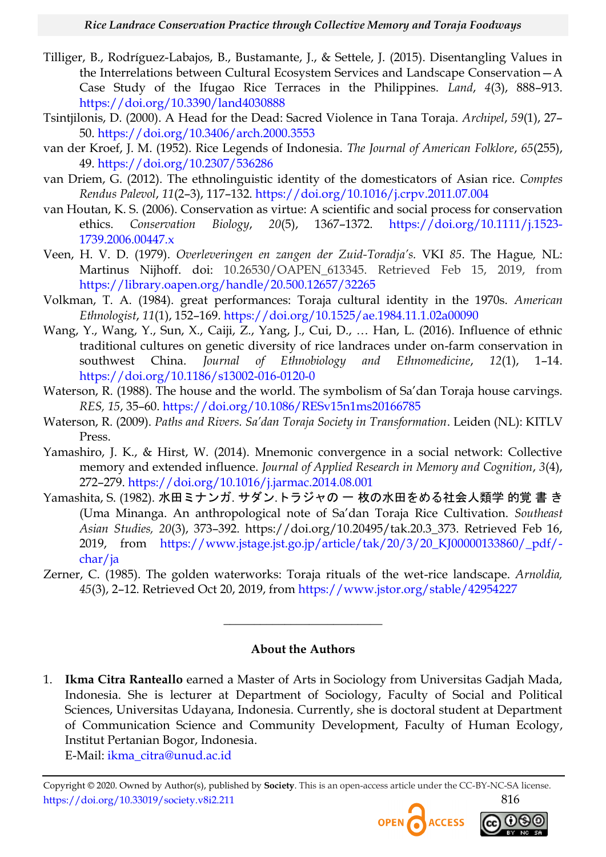- <span id="page-22-3"></span>Tilliger, B., Rodríguez-Labajos, B., Bustamante, J., & Settele, J. (2015). Disentangling Values in the Interrelations between Cultural Ecosystem Services and Landscape Conservation—A Case Study of the Ifugao Rice Terraces in the Philippines. *Land*, *4*(3), 888–913. <https://doi.org/10.3390/land4030888>
- <span id="page-22-7"></span>Tsintjilonis, D. (2000). A Head for the Dead: Sacred Violence in Tana Toraja. *Archipel*, *59*(1), 27– 50.<https://doi.org/10.3406/arch.2000.3553>
- <span id="page-22-2"></span>van der Kroef, J. M. (1952). Rice Legends of Indonesia. *The Journal of American Folklore*, *65*(255), 49.<https://doi.org/10.2307/536286>
- <span id="page-22-1"></span>van Driem, G. (2012). The ethnolinguistic identity of the domesticators of Asian rice. *Comptes Rendus Palevol*, *11*(2–3), 117–132.<https://doi.org/10.1016/j.crpv.2011.07.004>
- <span id="page-22-10"></span>van Houtan, K. S. (2006). Conservation as virtue: A scientific and social process for conservation ethics. *Conservation Biology*, *20*(5), 1367–1372. [https://doi.org/10.1111/j.1523-](https://doi.org/10.1111/j.1523-1739.2006.00447.x) [1739.2006.00447.x](https://doi.org/10.1111/j.1523-1739.2006.00447.x)
- <span id="page-22-5"></span>Veen, H. V. D. (1979). *Overleveringen en zangen der Zuid-Toradja"s.* VKI *85*. The Hague*,* NL: Martinus Nijhoff. doi: 10.26530/OAPEN\_613345. Retrieved Feb 15, 2019, from <https://library.oapen.org/handle/20.500.12657/32265>
- <span id="page-22-6"></span>Volkman, T. A. (1984). great performances: Toraja cultural identity in the 1970s. *American Ethnologist*, *11*(1), 152–169.<https://doi.org/10.1525/ae.1984.11.1.02a00090>
- <span id="page-22-0"></span>Wang, Y., Wang, Y., Sun, X., Caiji, Z., Yang, J., Cui, D., … Han, L. (2016). Influence of ethnic traditional cultures on genetic diversity of rice landraces under on-farm conservation in southwest China. *Journal of Ethnobiology and Ethnomedicine*, *12*(1), 1–14. <https://doi.org/10.1186/s13002-016-0120-0>
- <span id="page-22-11"></span>Waterson, R. (1988). The house and the world. The symbolism of Sa'dan Toraja house carvings. *RES, 15*, 35–60.<https://doi.org/10.1086/RESv15n1ms20166785>
- <span id="page-22-8"></span>Waterson, R. (2009). *Paths and Rivers. Sa"dan Toraja Society in Transformation*. Leiden (NL): KITLV Press.
- Yamashiro, J. K., & Hirst, W. (2014). Mnemonic convergence in a social network: Collective memory and extended influence. *Journal of Applied Research in Memory and Cognition*, *3*(4), 272–279.<https://doi.org/10.1016/j.jarmac.2014.08.001>
- <span id="page-22-9"></span>Yamashita, S. (1982). 水田ミナンガ. サダン.トラジャの 一 枚の水田をめる社会人類学 的覚 書 き (Uma Minanga. An anthropological note of Sa'dan Toraja Rice Cultivation. *Southeast Asian Studies, 20*(3), 373–392. https://doi.org/10.20495/tak.20.3\_373. Retrieved Feb 16, 2019, from [https://www.jstage.jst.go.jp/article/tak/20/3/20\\_KJ00000133860/\\_pdf/](https://www.jstage.jst.go.jp/article/tak/20/3/20_KJ00000133860/_pdf/-char/ja) [char/ja](https://www.jstage.jst.go.jp/article/tak/20/3/20_KJ00000133860/_pdf/-char/ja)
- <span id="page-22-4"></span>Zerner, C. (1985). The golden waterworks: Toraja rituals of the wet-rice landscape. *Arnoldia, 45*(3), 2–12. Retrieved Oct 20, 2019, from<https://www.jstor.org/stable/42954227>

#### **About the Authors**

 $\overline{\phantom{a}}$  , where  $\overline{\phantom{a}}$  , where  $\overline{\phantom{a}}$  , where  $\overline{\phantom{a}}$ 

1. **Ikma Citra Ranteallo** earned a Master of Arts in Sociology from Universitas Gadjah Mada, Indonesia. She is lecturer at Department of Sociology, Faculty of Social and Political Sciences, Universitas Udayana, Indonesia. Currently, she is doctoral student at Department of Communication Science and Community Development, Faculty of Human Ecology, Institut Pertanian Bogor, Indonesia.

E-Mail: [ikma\\_citra@unud.ac.id](mailto:ikma_citra@unud.ac.id)

Copyright © 2020. Owned by Author(s), published by **Society**. This is an open-access article under the CC-BY-NC-SA license. https://doi.org/10.33019/society.v8i2.211 816<br> **OPEN** ACCESS